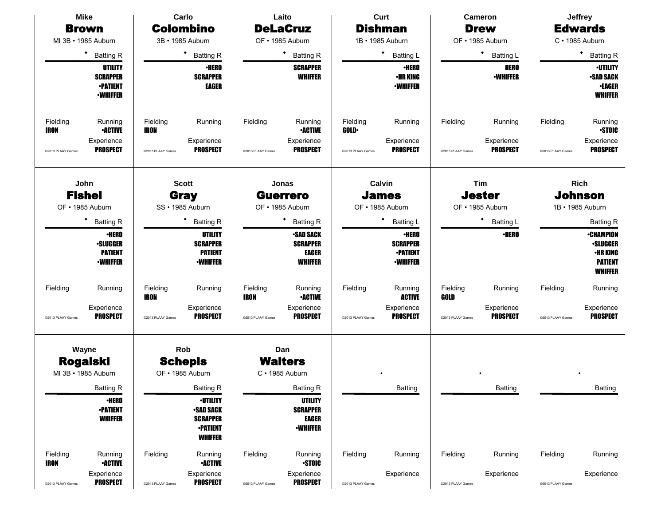|                                                                                                 | <b>Mike</b>                                                                                                                                                  |                                                                   | Carlo                                                                                                                                                                                                             |                                                                   | Laito                                                                                                                                                                                                                          |                                                    | Curt                                                                                                                                                                                                                         |                                                            | <b>Cameron</b>                                                                                                                                   |                                                    | <b>Jeffrey</b>                                                                                                                                                                                                              |
|-------------------------------------------------------------------------------------------------|--------------------------------------------------------------------------------------------------------------------------------------------------------------|-------------------------------------------------------------------|-------------------------------------------------------------------------------------------------------------------------------------------------------------------------------------------------------------------|-------------------------------------------------------------------|--------------------------------------------------------------------------------------------------------------------------------------------------------------------------------------------------------------------------------|----------------------------------------------------|------------------------------------------------------------------------------------------------------------------------------------------------------------------------------------------------------------------------------|------------------------------------------------------------|--------------------------------------------------------------------------------------------------------------------------------------------------|----------------------------------------------------|-----------------------------------------------------------------------------------------------------------------------------------------------------------------------------------------------------------------------------|
|                                                                                                 | <b>Brown</b>                                                                                                                                                 |                                                                   | <b>Colombino</b>                                                                                                                                                                                                  |                                                                   | <b>DeLaCruz</b>                                                                                                                                                                                                                |                                                    | <b>Dishman</b>                                                                                                                                                                                                               |                                                            | <b>Drew</b>                                                                                                                                      |                                                    | <b>Edwards</b>                                                                                                                                                                                                              |
| MI 3B · 1985 Auburn                                                                             |                                                                                                                                                              |                                                                   | 3B · 1985 Auburn                                                                                                                                                                                                  |                                                                   | OF . 1985 Auburn                                                                                                                                                                                                               |                                                    | 1B · 1985 Auburn                                                                                                                                                                                                             |                                                            | OF · 1985 Auburn                                                                                                                                 |                                                    | C · 1985 Auburn                                                                                                                                                                                                             |
|                                                                                                 | $\bullet$<br><b>Batting R</b>                                                                                                                                |                                                                   | ٠<br><b>Batting R</b>                                                                                                                                                                                             |                                                                   | ٠<br><b>Batting R</b>                                                                                                                                                                                                          |                                                    | $\bullet$<br><b>Batting L</b>                                                                                                                                                                                                |                                                            | ٠<br><b>Batting L</b>                                                                                                                            |                                                    | ٠<br><b>Batting R</b>                                                                                                                                                                                                       |
|                                                                                                 | <b>UTILITY</b><br><b>SCRAPPER</b><br><b>•PATIENT</b><br><b>-WHIFFER</b>                                                                                      |                                                                   | <b>•HERO</b><br><b>SCRAPPER</b><br><b>EAGER</b>                                                                                                                                                                   |                                                                   | <b>SCRAPPER</b><br><b>WHIFFER</b>                                                                                                                                                                                              |                                                    | <b>•HERO</b><br><b>•HR KING</b><br><b>-WHIFFER</b>                                                                                                                                                                           |                                                            | <b>HERO</b><br><b>-WHIFFER</b>                                                                                                                   |                                                    | <b>·UTILITY</b><br><b>•SAD SACK</b><br><b>•EAGER</b><br><b>WHIFFER</b>                                                                                                                                                      |
| Fielding<br>IRON                                                                                | Running<br><b>•ACTIVE</b><br>Experience                                                                                                                      | Fielding<br><b>IRON</b>                                           | Running<br>Experience                                                                                                                                                                                             | Fielding                                                          | Running<br><b>•ACTIVE</b><br>Experience                                                                                                                                                                                        | Fielding<br><b>GOLD</b>                            | Running<br>Experience                                                                                                                                                                                                        | Fielding                                                   | Running<br>Experience                                                                                                                            | Fielding                                           | Running<br><b>STOIC</b><br>Experience                                                                                                                                                                                       |
| @2013 PLAAY Games<br>John<br><b>Fishel</b><br>OF . 1985 Auburn<br>Fielding<br>@2013 PLAAY Games | <b>PROSPECT</b><br>٠<br><b>Batting R</b><br><b>•HERO</b><br><b>•SLUGGER</b><br><b>PATIENT</b><br><b>•WHIFFER</b><br>Running<br>Experience<br><b>PROSPECT</b> | @2013 PLAAY Games<br>Fielding<br><b>IRON</b><br>@2013 PLAAY Games | <b>PROSPECT</b><br><b>Scott</b><br><b>Gray</b><br>SS · 1985 Auburn<br>٠<br><b>Batting R</b><br><b>UTILITY</b><br><b>SCRAPPER</b><br><b>PATIENT</b><br><b>-WHIFFER</b><br>Running<br>Experience<br><b>PROSPECT</b> | @2013 PLAAY Games<br>Fielding<br><b>IRON</b><br>@2013 PLAAY Games | <b>PROSPECT</b><br>Jonas<br><b>Guerrero</b><br>OF • 1985 Auburn<br>٠<br><b>Batting R</b><br><b>SAD SACK</b><br><b>SCRAPPER</b><br><b>EAGER</b><br><b>WHIFFER</b><br>Running<br><b>•ACTIVE</b><br>Experience<br><b>PROSPECT</b> | @2013 PLAAY Games<br>Fielding<br>@2013 PLAAY Games | <b>PROSPECT</b><br>Calvin<br><b>James</b><br>OF • 1985 Auburn<br>٠<br><b>Batting L</b><br><b>·HERO</b><br><b>SCRAPPER</b><br><b>•PATIENT</b><br><b>•WHIFFER</b><br>Running<br><b>ACTIVE</b><br>Experience<br><b>PROSPECT</b> | @2013 PLAAY Games<br>Fielding<br>GOLD<br>@2013 PLAAY Games | <b>PROSPECT</b><br>Tim<br><b>Jester</b><br>OF . 1985 Auburn<br>٠<br><b>Batting L</b><br><b>•HERO</b><br>Running<br>Experience<br><b>PROSPECT</b> | @2013 PLAAY Games<br>Fielding<br>@2013 PLAAY Games | <b>PROSPECT</b><br><b>Rich</b><br><b>Johnson</b><br>1B · 1985 Auburn<br><b>Batting R</b><br><b>•CHAMPION</b><br><b>•SLUGGER</b><br>•HR KING<br><b>PATIENT</b><br><b>WHIFFER</b><br>Running<br>Experience<br><b>PROSPECT</b> |
| Wayne<br><b>Rogalski</b><br>MI 3B · 1985 Auburn                                                 | <b>Batting R</b><br><b>•HERO</b><br><b>•PATIENT</b><br><b>WHIFFER</b>                                                                                        |                                                                   | Rob<br><b>Schepis</b><br>OF . 1985 Auburn<br><b>Batting R</b><br><b>-UTILITY</b><br><b>SAD SACK</b><br><b>SCRAPPER</b><br><b>-PATIENT</b><br><b>WHIFFER</b>                                                       |                                                                   | Dan<br><b>Walters</b><br>$C \cdot 1985$ Auburn<br><b>Batting R</b><br><b>UTILITY</b><br><b>SCRAPPER</b><br><b>EAGER</b><br><b>-WHIFFER</b>                                                                                     |                                                    | Batting                                                                                                                                                                                                                      |                                                            | Batting                                                                                                                                          |                                                    | <b>Batting</b>                                                                                                                                                                                                              |
| Fielding<br>IRON                                                                                | Running<br><b>-ACTIVE</b>                                                                                                                                    | Fielding                                                          | Running<br><b>•ACTIVE</b>                                                                                                                                                                                         | Fielding                                                          | Running<br><b>STOIC</b>                                                                                                                                                                                                        | Fielding                                           | Running                                                                                                                                                                                                                      | Fielding                                                   | Running                                                                                                                                          | Fielding                                           | Running                                                                                                                                                                                                                     |
| @2013 PLAAY Games                                                                               | Experience<br><b>PROSPECT</b>                                                                                                                                | @2013 PLAAY Games                                                 | Experience<br><b>PROSPECT</b>                                                                                                                                                                                     | @2013 PLAAY Games                                                 | Experience<br><b>PROSPECT</b>                                                                                                                                                                                                  | @2013 PLAAY Games                                  | Experience                                                                                                                                                                                                                   | @2013 PLAAY Games                                          | Experience                                                                                                                                       | @2013 PLAAY Games                                  | Experience                                                                                                                                                                                                                  |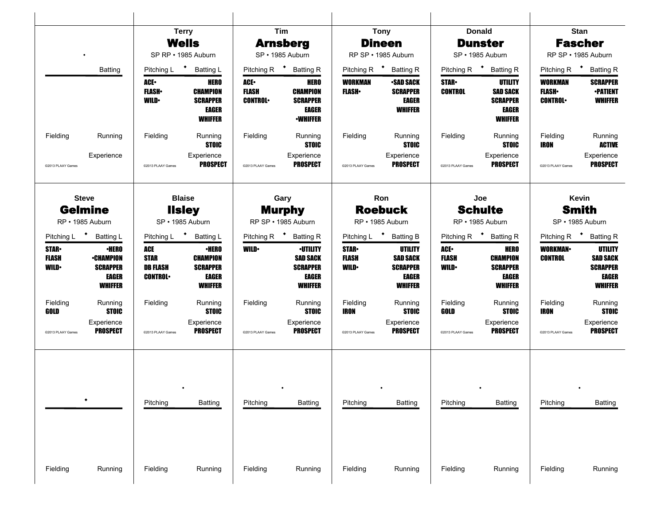|                                                          |                                                                                                                                                                                                                                                                                                                                                                                                                                                                                                                                                                              |                                   |                                     | <b>Tim</b>                             |                                                                                                                          |                                            | <b>Tony</b>                                                                                                             |                                                             | <b>Donald</b>                                                                             |                                           | <b>Stan</b>                                                                                                                 |
|----------------------------------------------------------|------------------------------------------------------------------------------------------------------------------------------------------------------------------------------------------------------------------------------------------------------------------------------------------------------------------------------------------------------------------------------------------------------------------------------------------------------------------------------------------------------------------------------------------------------------------------------|-----------------------------------|-------------------------------------|----------------------------------------|--------------------------------------------------------------------------------------------------------------------------|--------------------------------------------|-------------------------------------------------------------------------------------------------------------------------|-------------------------------------------------------------|-------------------------------------------------------------------------------------------|-------------------------------------------|-----------------------------------------------------------------------------------------------------------------------------|
|                                                          |                                                                                                                                                                                                                                                                                                                                                                                                                                                                                                                                                                              |                                   |                                     |                                        | <b>Arnsberg</b>                                                                                                          |                                            | <b>Dineen</b>                                                                                                           |                                                             | <b>Dunster</b>                                                                            |                                           | <b>Fascher</b>                                                                                                              |
|                                                          | <b>Terry</b><br><b>Wells</b><br>SP RP · 1985 Auburn<br><b>Batting</b><br>Pitching L<br>$\ddot{\phantom{1}}$<br><b>Batting L</b><br>ACE.<br><b>HERO</b><br><b>FLASH</b> •<br><b>CHAMPION</b><br><b>WILD</b><br><b>SCRAPPER</b><br>EAGER<br>Running<br>Fielding<br>Running<br>Experience<br>@2013 PLAAY Games<br><b>Steve</b><br><b>Blaise</b><br><b>Gelmine</b><br><b>Ilsley</b><br>RP · 1985 Auburn<br>SP · 1985 Auburn<br><b>Batting L</b><br>Pitching L<br>* Batting L<br><b>ACE</b><br><b>•HERO</b><br><b>•HERO</b><br><b>STAR</b><br><b>CHAMPION</b><br><b>-CHAMPION</b> |                                   |                                     | SP · 1985 Auburn                       |                                                                                                                          | RP SP · 1985 Auburn                        |                                                                                                                         | SP · 1985 Auburn                                            |                                                                                           | RP SP · 1985 Auburn                       |                                                                                                                             |
|                                                          |                                                                                                                                                                                                                                                                                                                                                                                                                                                                                                                                                                              |                                   |                                     |                                        | Pitching R * Batting R                                                                                                   |                                            | Pitching R <sup>+</sup> Batting R                                                                                       | Pitching R $\bullet$                                        | <b>Batting R</b>                                                                          | Pitching R <sup>+</sup>                   | <b>Batting R</b>                                                                                                            |
|                                                          |                                                                                                                                                                                                                                                                                                                                                                                                                                                                                                                                                                              |                                   | WHIFFER                             | ACE.<br><b>FLASH</b><br><b>CONTROL</b> | <b>HERO</b><br><b>CHAMPION</b><br><b>SCRAPPER</b><br><b>EAGER</b><br><b>•WHIFFER</b>                                     | WORKMAN<br><b>FLASH</b>                    | <b>-SAD SACK</b><br><b>SCRAPPER</b><br><b>EAGER</b><br><b>WHIFFER</b>                                                   | <b>STAR-</b><br><b>CONTROL</b>                              | UTILITY<br><b>SAD SACK</b><br><b>SCRAPPER</b><br><b>EAGER</b><br><b>WHIFFER</b>           | WORKMAN<br><b>FLASH</b><br><b>CONTROL</b> | <b>SCRAPPER</b><br><b>•PATIENT</b><br><b>WHIFFER</b>                                                                        |
| Fielding                                                 |                                                                                                                                                                                                                                                                                                                                                                                                                                                                                                                                                                              |                                   | <b>STOIC</b>                        | Fielding                               | Running<br><b>STOIC</b>                                                                                                  | Fielding                                   | Running<br><b>STOIC</b>                                                                                                 | Fielding                                                    | Running<br><b>STOIC</b>                                                                   | Fielding<br><b>IRON</b>                   | Running<br><b>ACTIVE</b>                                                                                                    |
| @2013 PLAAY Games                                        |                                                                                                                                                                                                                                                                                                                                                                                                                                                                                                                                                                              |                                   | Experience<br><b>PROSPECT</b>       | @2013 PLAAY Games                      | Experience<br><b>PROSPECT</b>                                                                                            | @2013 PLAAY Games                          | Experience<br><b>PROSPECT</b>                                                                                           | @2013 PLAAY Games                                           | Experience<br>PROSPECT                                                                    | @2013 PLAAY Games                         | Experience<br><b>PROSPECT</b>                                                                                               |
|                                                          |                                                                                                                                                                                                                                                                                                                                                                                                                                                                                                                                                                              |                                   |                                     |                                        | Gary<br><b>Murphy</b>                                                                                                    |                                            | Ron<br><b>Roebuck</b>                                                                                                   |                                                             | Joe<br><b>Schulte</b>                                                                     |                                           | Kevin<br><b>Smith</b>                                                                                                       |
|                                                          |                                                                                                                                                                                                                                                                                                                                                                                                                                                                                                                                                                              |                                   |                                     |                                        | RP SP · 1985 Auburn                                                                                                      |                                            | RP · 1985 Auburn                                                                                                        |                                                             | RP · 1985 Auburn                                                                          |                                           | SP · 1985 Auburn                                                                                                            |
| Pitching L<br><b>STAR</b><br><b>FLASH</b><br><b>WILD</b> | <b>SCRAPPER</b><br><b>EAGER</b><br><b>WHIFFER</b>                                                                                                                                                                                                                                                                                                                                                                                                                                                                                                                            | <b>DB FLASH</b><br><b>CONTROL</b> | <b>SCRAPPER</b><br>EAGER<br>WHIFFER | <b>WILD</b>                            | Pitching R <b>*</b> Batting R<br><b>·UTILITY</b><br><b>SAD SACK</b><br><b>SCRAPPER</b><br><b>EAGER</b><br><b>WHIFFER</b> | <b>STAR</b><br><b>FLASH</b><br><b>WILD</b> | Pitching L <b>*</b> Batting B<br><b>UTILITY</b><br><b>SAD SACK</b><br><b>SCRAPPER</b><br><b>EAGER</b><br><b>WHIFFER</b> | Pitching R $\bullet$<br>ACE.<br><b>FLASH</b><br><b>WILD</b> | <b>Batting R</b><br><b>HERO</b><br><b>CHAMPION</b><br><b>SCRAPPER</b><br>EAGER<br>WHIFFER | <b>WORKMAN-</b><br><b>CONTROL</b>         | Pitching R <sup>+</sup> Batting R<br><b>UTILITY</b><br><b>SAD SACK</b><br><b>SCRAPPER</b><br><b>EAGER</b><br><b>WHIFFER</b> |
| Fielding<br>GOLD                                         | Running<br><b>STOIC</b>                                                                                                                                                                                                                                                                                                                                                                                                                                                                                                                                                      | Fielding                          | Running<br><b>STOIC</b>             | Fielding                               | Running<br><b>STOIC</b>                                                                                                  | Fielding<br>IRON                           | Running<br><b>STOIC</b>                                                                                                 | Fielding<br>GOLD                                            | Running<br><b>STOIC</b>                                                                   | Fielding<br><b>IRON</b>                   | Running<br><b>STOIC</b>                                                                                                     |
| @2013 PLAAY Games                                        | Experience<br><b>PROSPECT</b>                                                                                                                                                                                                                                                                                                                                                                                                                                                                                                                                                | @2013 PLAAY Games                 | Experience<br><b>PROSPECT</b>       | @2013 PLAAY Games                      | Experience<br><b>PROSPECT</b>                                                                                            | @2013 PLAAY Games                          | Experience<br><b>PROSPECT</b>                                                                                           | @2013 PLAAY Games                                           | Experience<br><b>PROSPECT</b>                                                             | @2013 PLAAY Games                         | Experience<br><b>PROSPECT</b>                                                                                               |
| ٠                                                        |                                                                                                                                                                                                                                                                                                                                                                                                                                                                                                                                                                              | Pitching                          | <b>Batting</b>                      | Pitching                               | <b>Batting</b>                                                                                                           | Pitching                                   | <b>Batting</b>                                                                                                          | Pitching                                                    | <b>Batting</b>                                                                            | Pitching                                  | <b>Batting</b>                                                                                                              |
| Fielding                                                 | Running                                                                                                                                                                                                                                                                                                                                                                                                                                                                                                                                                                      | Fielding                          | Running                             | Fielding                               | Running                                                                                                                  | Fielding                                   | Running                                                                                                                 | Fielding                                                    | Running                                                                                   | Fielding                                  | Running                                                                                                                     |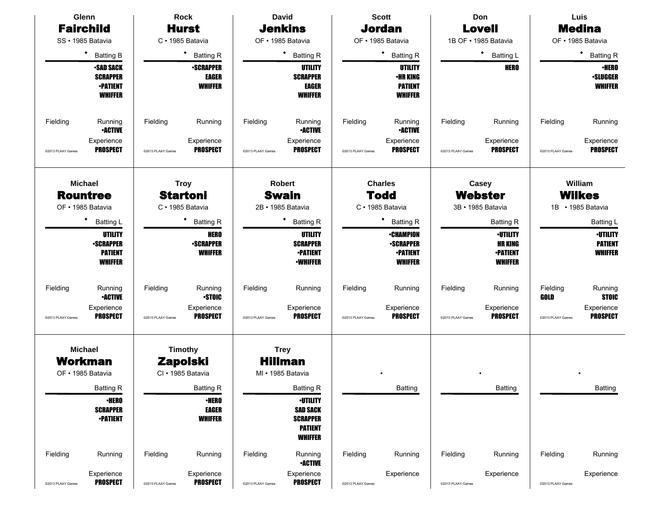|                   | Glenn                                                                    |                   | <b>Rock</b>                                            |                   | <b>David</b>                                                                              |                   | <b>Scott</b>                                                              |                   | Don                                                                    |                   | Luis                                                |
|-------------------|--------------------------------------------------------------------------|-------------------|--------------------------------------------------------|-------------------|-------------------------------------------------------------------------------------------|-------------------|---------------------------------------------------------------------------|-------------------|------------------------------------------------------------------------|-------------------|-----------------------------------------------------|
| <b>Fairchild</b>  |                                                                          |                   | <b>Hurst</b>                                           |                   | <b>Jenkins</b>                                                                            |                   | <b>Jordan</b>                                                             |                   | <b>Lovell</b>                                                          |                   | <b>Medina</b>                                       |
|                   | SS · 1985 Batavia                                                        |                   | C · 1985 Batavia                                       |                   | OF • 1985 Batavia                                                                         |                   | OF • 1985 Batavia                                                         |                   | 1B OF · 1985 Batavia                                                   |                   | OF • 1985 Batavia                                   |
|                   | ٠<br><b>Batting B</b>                                                    |                   | <b>Batting R</b>                                       |                   | ٠<br><b>Batting R</b>                                                                     |                   | ٠<br><b>Batting R</b>                                                     |                   | ٠<br><b>Batting L</b>                                                  |                   | $\bullet$<br><b>Batting R</b>                       |
|                   | <b>•SAD SACK</b><br><b>SCRAPPER</b><br><b>•PATIENT</b><br><b>WHIFFER</b> |                   | <b>-SCRAPPER</b><br><b>EAGER</b><br><b>WHIFFER</b>     |                   | UTILITY<br><b>SCRAPPER</b><br>EAGER<br><b>WHIFFER</b>                                     |                   | <b>UTILITY</b><br><b>•HR KING</b><br><b>PATIENT</b><br><b>WHIFFER</b>     |                   | <b>HERO</b>                                                            |                   | <b>-HERO</b><br><b>·SLUGGER</b><br><b>WHIFFER</b>   |
| Fielding          | Running<br><b>•ACTIVE</b>                                                | Fielding          | Running                                                | Fielding          | Running<br><b>•ACTIVE</b>                                                                 | Fielding          | Running<br><b>•ACTIVE</b>                                                 | Fielding          | Running                                                                | Fielding          | Running                                             |
| @2013 PLAAY Games | Experience<br><b>PROSPECT</b>                                            | @2013 PLAAY Games | Experience<br><b>PROSPECT</b>                          | @2013 PLAAY Games | Experience<br><b>PROSPECT</b>                                                             | @2013 PLAAY Games | Experience<br><b>PROSPECT</b>                                             | @2013 PLAAY Games | Experience<br><b>PROSPECT</b>                                          | @2013 PLAAY Games | Experience<br><b>PROSPECT</b>                       |
|                   | <b>Michael</b><br><b>Rountree</b>                                        |                   | <b>Troy</b><br><b>Startoni</b>                         |                   | <b>Robert</b><br><b>Swain</b>                                                             |                   | <b>Charles</b><br><b>Todd</b>                                             |                   | Casey<br>Webster                                                       |                   | William<br><b>Wilkes</b>                            |
|                   | OF • 1985 Batavia                                                        |                   | C · 1985 Batavia                                       |                   | 2B · 1985 Batavia                                                                         |                   | C · 1985 Batavia                                                          |                   | 3B · 1985 Batavia                                                      |                   | 1B • 1985 Batavia                                   |
|                   | ٠<br><b>Batting L</b>                                                    |                   | <b>Batting R</b>                                       |                   | <b>Batting R</b>                                                                          |                   | <b>Batting R</b>                                                          |                   | <b>Batting R</b>                                                       |                   | Batting L                                           |
|                   | UTILITY<br><b>-SCRAPPER</b><br><b>PATIENT</b><br><b>WHIFFER</b>          |                   | <b>HERO</b><br><b>-SCRAPPER</b><br><b>WHIFFER</b>      |                   | <b>UTILITY</b><br><b>SCRAPPER</b><br><b>•PATIENT</b><br><b>-WHIFFER</b>                   |                   | <b>•CHAMPION</b><br><b>•SCRAPPER</b><br><b>•PATIENT</b><br><b>WHIFFER</b> |                   | <b>·UTILITY</b><br><b>HR KING</b><br><b>-PATIENT</b><br><b>WHIFFER</b> |                   | <b>-UTILITY</b><br><b>PATIENT</b><br><b>WHIFFER</b> |
| Fielding          | Running<br><b>•ACTIVE</b>                                                | Fielding          | Running<br><b>STOIC</b>                                | Fielding          | Running                                                                                   | Fielding          | Running                                                                   | Fielding          | Running                                                                | Fielding<br>GOLD  | Running<br><b>STOIC</b>                             |
| @2013 PLAAY Games | Experience<br><b>PROSPECT</b>                                            | @2013 PLAAY Games | Experience<br><b>PROSPECT</b>                          | @2013 PLAAY Games | Experience<br><b>PROSPECT</b>                                                             | @2013 PLAAY Games | Experience<br><b>PROSPECT</b>                                             | @2013 PLAAY Games | Experience<br><b>PROSPECT</b>                                          | @2013 PLAAY Games | Experience<br><b>PROSPECT</b>                       |
|                   | <b>Michael</b><br><b>Workman</b><br>OF • 1985 Batavia                    |                   | <b>Timothy</b><br><b>Zapolski</b><br>CI · 1985 Batavia |                   | <b>Trey</b><br><b>Hillman</b><br>MI • 1985 Batavia                                        |                   |                                                                           |                   |                                                                        |                   |                                                     |
|                   | <b>Batting R</b>                                                         |                   | <b>Batting R</b>                                       |                   | <b>Batting R</b>                                                                          |                   | Batting                                                                   |                   | Batting                                                                |                   | <b>Batting</b>                                      |
|                   | <b>•HERO</b><br><b>SCRAPPER</b><br><b>•PATIENT</b>                       |                   | <b>•HERO</b><br><b>EAGER</b><br><b>WHIFFER</b>         |                   | <b>-UTILITY</b><br><b>SAD SACK</b><br><b>SCRAPPER</b><br><b>PATIENT</b><br><b>WHIFFER</b> |                   |                                                                           |                   |                                                                        |                   |                                                     |
| Fielding          | Running                                                                  | Fielding          | Running                                                | Fielding          | Running<br><b>•ACTIVE</b>                                                                 | Fielding          | Running                                                                   | Fielding          | Running                                                                | Fielding          | Running                                             |
| @2013 PLAAY Games | Experience<br><b>PROSPECT</b>                                            | @2013 PLAAY Games | Experience<br><b>PROSPECT</b>                          | @2013 PLAAY Games | Experience<br><b>PROSPECT</b>                                                             | @2013 PLAAY Games | Experience                                                                | @2013 PLAAY Games | Experience                                                             | @2013 PLAAY Games | Experience                                          |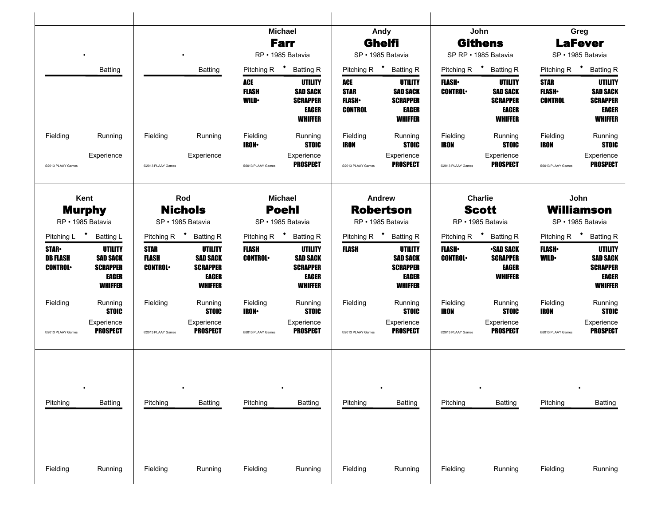|                                                   |                                                                                 |                                               |                                                                                 |                          | <b>Michael</b><br><b>Farr</b><br>RP · 1985 Batavia                       |                                  | Andy<br><b>Ghelfi</b><br>SP · 1985 Batavia                               |                                 | John<br><b>Githens</b><br>SP RP · 1985 Batavia                        |                                                           | Greg<br><b>LaFever</b><br>SP · 1985 Batavia                              |
|---------------------------------------------------|---------------------------------------------------------------------------------|-----------------------------------------------|---------------------------------------------------------------------------------|--------------------------|--------------------------------------------------------------------------|----------------------------------|--------------------------------------------------------------------------|---------------------------------|-----------------------------------------------------------------------|-----------------------------------------------------------|--------------------------------------------------------------------------|
|                                                   | <b>Batting</b>                                                                  |                                               | <b>Batting</b>                                                                  | ACE<br><b>FLASH</b>      | Pitching R <b>*</b> Batting R<br>UTILITY<br><b>SAD SACK</b>              | ACE<br><b>STAR</b>               | Pitching R <sup>+</sup> Batting R<br><b>UTILITY</b><br><b>SAD SACK</b>   | <b>FLASH•</b><br><b>CONTROL</b> | Pitching R <sup>+</sup> Batting R<br>UTILITY<br><b>SAD SACK</b>       | Pitching R <sup>+</sup> Batting R<br>STAR<br><b>FLASH</b> | <b>UTILITY</b><br><b>SAD SACK</b>                                        |
|                                                   |                                                                                 |                                               |                                                                                 | <b>WILD</b>              | <b>SCRAPPER</b><br>EAGER<br><b>WHIFFER</b>                               | <b>FLASH</b> •<br><b>CONTROL</b> | <b>SCRAPPER</b><br>EAGER<br><b>WHIFFER</b>                               |                                 | <b>SCRAPPER</b><br><b>EAGER</b><br><b>WHIFFER</b>                     | <b>CONTROL</b>                                            | <b>SCRAPPER</b><br><b>EAGER</b><br><b>WHIFFER</b>                        |
| Fielding                                          | Running                                                                         | Fielding                                      | Running                                                                         | Fielding<br><b>IRON-</b> | Running<br><b>STOIC</b>                                                  | Fielding<br>IRON                 | Running<br><b>STOIC</b>                                                  | Fielding<br>IRON                | Running<br><b>STOIC</b>                                               | Fielding<br>IRON                                          | Running<br><b>STOIC</b>                                                  |
| @2013 PLAAY Games                                 | Experience                                                                      | @2013 PLAAY Games                             | Experience                                                                      | @2013 PLAAY Games        | Experience<br><b>PROSPECT</b>                                            | @2013 PLAAY Games                | Experience<br><b>PROSPECT</b>                                            | @2013 PLAAY Games               | Experience<br><b>PROSPECT</b>                                         | @2013 PLAAY Games                                         | Experience<br><b>PROSPECT</b>                                            |
|                                                   | Kent                                                                            |                                               | Rod                                                                             |                          | <b>Michael</b>                                                           |                                  | <b>Andrew</b>                                                            |                                 | <b>Charlie</b>                                                        |                                                           | John                                                                     |
|                                                   | <b>Murphy</b><br>RP · 1985 Batavia                                              |                                               | <b>Nichols</b><br>SP · 1985 Batavia                                             |                          | <b>Poehl</b><br>SP · 1985 Batavia                                        |                                  | <b>Robertson</b><br>RP · 1985 Batavia                                    |                                 | <b>Scott</b><br>RP · 1985 Batavia                                     |                                                           | <b>Williamson</b><br>SP · 1985 Batavia                                   |
| Pitching L <sup>+</sup> Batting L                 |                                                                                 |                                               | Pitching R <sup>+</sup> Batting R                                               |                          | Pitching R <sup>+</sup> Batting R                                        |                                  | Pitching R <sup>+</sup> Batting R                                        |                                 | Pitching R <sup>+</sup> Batting R                                     | Pitching R <sup>+</sup> Batting R                         |                                                                          |
| <b>STAR-</b><br><b>DB FLASH</b><br><b>CONTROL</b> | <b>UTILITY</b><br><b>SAD SACK</b><br><b>SCRAPPER</b><br>EAGER<br><b>WHIFFER</b> | <b>STAR</b><br><b>FLASH</b><br><b>CONTROL</b> | <b>UTILITY</b><br><b>SAD SACK</b><br><b>SCRAPPER</b><br>EAGER<br><b>WHIFFER</b> | FLASH<br><b>CONTROL</b>  | <b>UTILITY</b><br><b>SAD SACK</b><br><b>SCRAPPER</b><br>EAGER<br>WHIFFER | FLASH                            | <b>UTILITY</b><br><b>SAD SACK</b><br><b>SCRAPPER</b><br>EAGER<br>WHIFFER | <b>FLASH</b><br><b>CONTROL</b>  | <b>-SAD SACK</b><br><b>SCRAPPER</b><br><b>EAGER</b><br><b>WHIFFER</b> | <b>FLASH</b> •<br><b>WILD</b>                             | UTILITY<br><b>SAD SACK</b><br><b>SCRAPPER</b><br>EAGER<br><b>WHIFFER</b> |
| Fielding                                          | Running<br><b>STOIC</b>                                                         | Fielding                                      | Running<br><b>STOIC</b>                                                         | Fielding<br><b>IRON•</b> | Running<br><b>STOIC</b>                                                  | Fielding                         | Running<br><b>STOIC</b>                                                  | Fielding<br>IRON                | Running<br><b>STOIC</b>                                               | Fielding<br>IRON                                          | Running<br><b>STOIC</b>                                                  |
| @2013 PLAAY Games                                 | Experience<br><b>PROSPECT</b>                                                   | @2013 PLAAY Games                             | Experience<br><b>PROSPECT</b>                                                   | @2013 PLAAY Games        | Experience<br>PROSPECT                                                   | @2013 PLAAY Games                | Experience<br><b>PROSPECT</b>                                            | @2013 PLAAY Games               | Experience<br><b>PROSPECT</b>                                         | @2013 PLAAY Games                                         | Experience<br><b>PROSPECT</b>                                            |
|                                                   |                                                                                 |                                               |                                                                                 |                          |                                                                          |                                  |                                                                          |                                 |                                                                       |                                                           |                                                                          |
| Pitching                                          | Batting                                                                         | Pitching                                      | <b>Batting</b>                                                                  | Pitching                 | Batting                                                                  | Pitching                         | <b>Batting</b>                                                           | Pitching                        | <b>Batting</b>                                                        | Pitching                                                  | <b>Batting</b>                                                           |
|                                                   |                                                                                 |                                               |                                                                                 |                          |                                                                          |                                  |                                                                          |                                 |                                                                       |                                                           |                                                                          |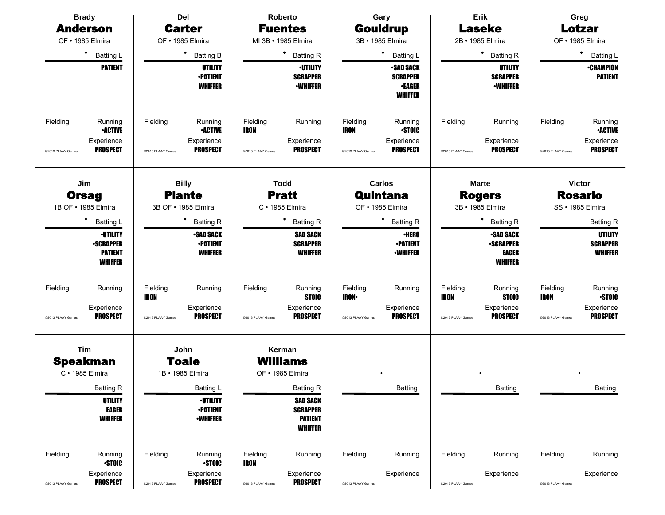| <b>Brady</b>                                    |                                                                                             |                                              | Del                                                                                                                               |                                              | Roberto                                                                                                                                     |                                              | Gary                                                                                                                  |                                              | Erik                                                                                                                                                |                                              | Greg                                                                                                                           |
|-------------------------------------------------|---------------------------------------------------------------------------------------------|----------------------------------------------|-----------------------------------------------------------------------------------------------------------------------------------|----------------------------------------------|---------------------------------------------------------------------------------------------------------------------------------------------|----------------------------------------------|-----------------------------------------------------------------------------------------------------------------------|----------------------------------------------|-----------------------------------------------------------------------------------------------------------------------------------------------------|----------------------------------------------|--------------------------------------------------------------------------------------------------------------------------------|
| <b>Anderson</b>                                 |                                                                                             |                                              | <b>Carter</b>                                                                                                                     |                                              | <b>Fuentes</b>                                                                                                                              |                                              | <b>Gouldrup</b>                                                                                                       |                                              | <b>Laseke</b>                                                                                                                                       |                                              | Lotzar                                                                                                                         |
| OF • 1985 Elmira                                |                                                                                             | OF · 1985 Elmira                             |                                                                                                                                   |                                              | MI 3B · 1985 Elmira                                                                                                                         |                                              | 3B · 1985 Elmira                                                                                                      |                                              | 2B · 1985 Elmira                                                                                                                                    |                                              | OF · 1985 Elmira                                                                                                               |
| $\bullet$                                       | <b>Batting L</b>                                                                            |                                              | ٠<br><b>Batting B</b>                                                                                                             |                                              | ٠<br><b>Batting R</b>                                                                                                                       |                                              | ٠<br>Batting L                                                                                                        |                                              | $\bullet$<br><b>Batting R</b>                                                                                                                       |                                              | ٠<br>Batting L                                                                                                                 |
|                                                 | <b>PATIENT</b>                                                                              |                                              | <b>UTILITY</b><br><b>-PATIENT</b><br><b>WHIFFER</b>                                                                               |                                              | <b>·UTILITY</b><br><b>SCRAPPER</b><br><b>-WHIFFER</b>                                                                                       |                                              | <b>SAD SACK</b><br><b>SCRAPPER</b><br><b>•EAGER</b><br><b>WHIFFER</b>                                                 |                                              | UTILITY<br><b>SCRAPPER</b><br><b>-WHIFFER</b>                                                                                                       |                                              | <b>•CHAMPION</b><br><b>PATIENT</b>                                                                                             |
| Fielding<br>@2013 PLAAY Games                   | Running<br><b>•ACTIVE</b><br>Experience<br><b>PROSPECT</b>                                  | Fielding<br>@2013 PLAAY Games                | Running<br><b>•ACTIVE</b><br>Experience<br><b>PROSPECT</b>                                                                        | Fielding<br><b>IRON</b><br>@2013 PLAAY Games | Running<br>Experience<br><b>PROSPECT</b>                                                                                                    | Fielding<br><b>IRON</b><br>@2013 PLAAY Games | Running<br><b>STOIC</b><br>Experience<br><b>PROSPECT</b>                                                              | Fielding<br>@2013 PLAAY Games                | Running<br>Experience<br><b>PROSPECT</b>                                                                                                            | Fielding<br>@2013 PLAAY Games                | Running<br><b>-ACTIVE</b><br>Experience<br><b>PROSPECT</b>                                                                     |
| Jim<br><b>Orsag</b><br>1B OF • 1985 Elmira<br>٠ | <b>Batting L</b><br><b>-UTILITY</b><br><b>-SCRAPPER</b><br><b>PATIENT</b><br><b>WHIFFER</b> |                                              | <b>Billy</b><br><b>Plante</b><br>3B OF • 1985 Elmira<br><b>Batting R</b><br><b>-SAD SACK</b><br><b>•PATIENT</b><br><b>WHIFFER</b> |                                              | <b>Todd</b><br><b>Pratt</b><br>$C \cdot 1985$ Elmira<br>٠<br><b>Batting R</b><br><b>SAD SACK</b><br><b>SCRAPPER</b><br><b>WHIFFER</b>       |                                              | Carlos<br>Quintana<br>OF · 1985 Elmira<br>٠<br><b>Batting R</b><br><b>·HERO</b><br><b>-PATIENT</b><br><b>•WHIFFER</b> |                                              | <b>Marte</b><br><b>Rogers</b><br>3B · 1985 Elmira<br>٠<br><b>Batting R</b><br><b>SAD SACK</b><br><b>-SCRAPPER</b><br><b>EAGER</b><br><b>WHIFFER</b> |                                              | <b>Victor</b><br><b>Rosario</b><br>SS · 1985 Elmira<br><b>Batting R</b><br><b>UTILITY</b><br><b>SCRAPPER</b><br><b>WHIFFER</b> |
| Fielding<br>@2013 PLAAY Games                   | Running<br>Experience<br><b>PROSPECT</b>                                                    | Fielding<br><b>IRON</b><br>@2013 PLAAY Games | Running<br>Experience<br><b>PROSPECT</b>                                                                                          | Fielding<br>@2013 PLAAY Games                | Running<br><b>STOIC</b><br>Experience<br><b>PROSPECT</b>                                                                                    | Fielding<br><b>IRON</b><br>@2013 PLAAY Games | Running<br>Experience<br><b>PROSPECT</b>                                                                              | Fielding<br><b>IRON</b><br>@2013 PLAAY Games | Running<br><b>STOIC</b><br>Experience<br><b>PROSPECT</b>                                                                                            | Fielding<br><b>IRON</b><br>@2013 PLAAY Games | Running<br><b>STOIC</b><br>Experience<br><b>PROSPECT</b>                                                                       |
| Tim<br><b>Speakman</b><br>C · 1985 Elmira       | <b>Batting R</b><br><b>UTILITY</b><br><b>EAGER</b><br><b>WHIFFER</b>                        |                                              | John<br><b>Toale</b><br>1B · 1985 Elmira<br><b>Batting L</b><br><b>·UTILITY</b><br><b>•PATIENT</b><br><b>-WHIFFER</b>             |                                              | Kerman<br><b>Williams</b><br>OF • 1985 Elmira<br><b>Batting R</b><br><b>SAD SACK</b><br><b>SCRAPPER</b><br><b>PATIENT</b><br><b>WHIFFER</b> |                                              | Batting                                                                                                               |                                              | Batting                                                                                                                                             |                                              | <b>Batting</b>                                                                                                                 |
| Fielding                                        | Running<br><b>STOIC</b>                                                                     | Fielding                                     | Running<br><b>STOIC</b>                                                                                                           | Fielding<br><b>IRON</b>                      | Running                                                                                                                                     | Fielding                                     | Running                                                                                                               | Fielding                                     | Running                                                                                                                                             | Fielding                                     | Running                                                                                                                        |
| @2013 PLAAY Games                               | Experience<br><b>PROSPECT</b>                                                               | @2013 PLAAY Games                            | Experience<br><b>PROSPECT</b>                                                                                                     | @2013 PLAAY Games                            | Experience<br><b>PROSPECT</b>                                                                                                               | @2013 PLAAY Games                            | Experience                                                                                                            | @2013 PLAAY Games                            | Experience                                                                                                                                          | @2013 PLAAY Games                            | Experience                                                                                                                     |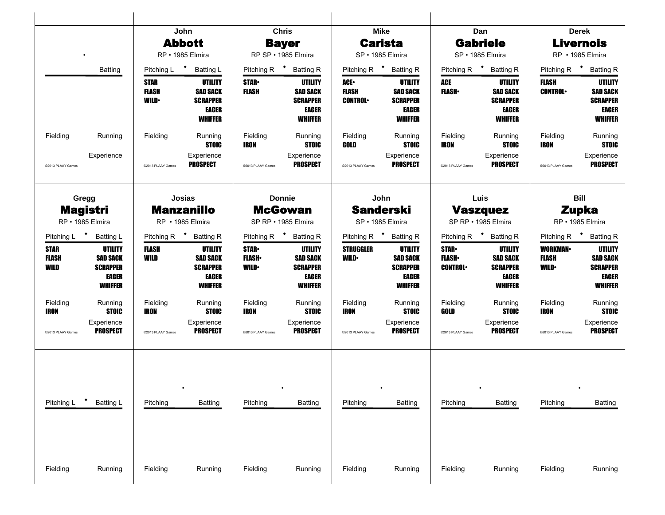|                                                                          |                                                                          |                                       | John<br><b>Abbott</b><br>RP · 1985 Elmira                                                                     |                                                 | <b>Chris</b><br><b>Bayer</b><br>RP SP · 1985 Elmira                                         |                                                | Mike<br><b>Carista</b><br>SP · 1985 Elmira                                                                    |                                                 | Dan<br><b>Gabriele</b><br>SP · 1985 Elmira                                                                           |                                                                              | <b>Derek</b><br><b>Livernois</b><br>RP · 1985 Elmira                            |
|--------------------------------------------------------------------------|--------------------------------------------------------------------------|---------------------------------------|---------------------------------------------------------------------------------------------------------------|-------------------------------------------------|---------------------------------------------------------------------------------------------|------------------------------------------------|---------------------------------------------------------------------------------------------------------------|-------------------------------------------------|----------------------------------------------------------------------------------------------------------------------|------------------------------------------------------------------------------|---------------------------------------------------------------------------------|
|                                                                          | <b>Batting</b>                                                           | STAR<br><b>FLASH</b><br><b>WILD</b>   | Pitching L <sup>+</sup> Batting L<br>UTILITY<br><b>SAD SACK</b><br><b>SCRAPPER</b><br>EAGER                   | <b>STAR</b> •<br><b>FLASH</b>                   | Pitching R <sup>+</sup> Batting R<br>UTILITY<br><b>SAD SACK</b><br><b>SCRAPPER</b><br>EAGER | <b>ACE</b> •<br><b>FLASH</b><br><b>CONTROL</b> | Pitching R <sup>+</sup> Batting R<br>UTILITY<br><b>SAD SACK</b><br><b>SCRAPPER</b><br>EAGER                   | ACE<br><b>FLASH</b> •                           | Pitching R <sup>+</sup> Batting R<br><b>UTILITY</b><br><b>SAD SACK</b><br><b>SCRAPPER</b><br>EAGER                   | Pitching R <sup>+</sup> Batting R<br>FLASH<br><b>CONTROL</b>                 | <b>UTILITY</b><br><b>SAD SACK</b><br><b>SCRAPPER</b><br>EAGER                   |
| Fielding<br>@2013 PLAAY Games                                            | Running<br>Experience                                                    | Fielding<br>@2013 PLAAY Games         | <b>WHIFFER</b><br>Running<br><b>STOIC</b><br>Experience<br>PROSPECT                                           | Fielding<br>IRON<br>@2013 PLAAY Games           | <b>WHIFFER</b><br>Running<br><b>STOIC</b><br>Experience<br><b>PROSPECT</b>                  | Fielding<br>GOLD<br>@2013 PLAAY Games          | WHIFFER<br>Running<br><b>STOIC</b><br>Experience<br><b>PROSPECT</b>                                           | Fielding<br>IRON<br>@2013 PLAAY Games           | <b>WHIFFER</b><br>Running<br><b>STOIC</b><br>Experience<br><b>PROSPECT</b>                                           | Fielding<br><b>IRON</b><br>@2013 PLAAY Games                                 | <b>WHIFFER</b><br>Running<br><b>STOIC</b><br>Experience<br><b>PROSPECT</b>      |
| Gregg                                                                    | <b>Magistri</b><br>RP · 1985 Elmira                                      |                                       | Josias<br><b>Manzanillo</b><br>RP · 1985 Elmira                                                               |                                                 | <b>Donnie</b><br><b>McGowan</b><br>SP RP · 1985 Elmira                                      |                                                | John<br><b>Sanderski</b><br>SP · 1985 Elmira                                                                  |                                                 | Luis<br><b>Vaszquez</b><br>SP RP · 1985 Elmira                                                                       |                                                                              | <b>Bill</b><br><b>Zupka</b><br>RP · 1985 Elmira                                 |
| Pitching L <sup>+</sup> Batting L<br><b>STAR</b><br><b>FLASH</b><br>WILD | UTILITY<br><b>SAD SACK</b><br><b>SCRAPPER</b><br>EAGER<br><b>WHIFFER</b> | <b>FLASH</b><br>WILD                  | Pitching R <sup>+</sup> Batting R<br>UTILITY<br><b>SAD SACK</b><br><b>SCRAPPER</b><br>EAGER<br><b>WHIFFER</b> | <b>STAR</b> .<br><b>FLASH</b> •<br><b>WILD•</b> | Pitching R + Batting R<br>UTILITY<br><b>SAD SACK</b><br><b>SCRAPPER</b><br>EAGER<br>WHIFFER | <b>STRUGGLER</b><br><b>WILD•</b>               | Pitching R <sup>+</sup> Batting R<br><b>UTILITY</b><br><b>SAD SACK</b><br><b>SCRAPPER</b><br>EAGER<br>WHIFFER | <b>STAR</b> •<br><b>FLASH</b><br><b>CONTROL</b> | Pitching R <sup>+</sup> Batting R<br><b>UTILITY</b><br><b>SAD SACK</b><br><b>SCRAPPER</b><br>EAGER<br><b>WHIFFER</b> | Pitching R <sup>+</sup> Batting R<br><b>WORKMAN</b><br>FLASH<br><b>WILD•</b> | UTILITY<br><b>SAD SACK</b><br><b>SCRAPPER</b><br><b>EAGER</b><br><b>WHIFFER</b> |
| Fielding<br>IRON<br>@2013 PLAAY Games                                    | Running<br><b>STOIC</b><br>Experience<br><b>PROSPECT</b>                 | Fielding<br>IRON<br>@2013 PLAAY Games | Running<br><b>STOIC</b><br>Experience<br>PROSPECT                                                             | Fielding<br>IRON<br>@2013 PLAAY Games           | Running<br><b>STOIC</b><br>Experience<br>PROSPECT                                           | Fielding<br>IRON<br>@2013 PLAAY Games          | Running<br><b>STOIC</b><br>Experience<br><b>PROSPECT</b>                                                      | Fielding<br>GOLD<br>@2013 PLAAY Games           | Running<br><b>STOIC</b><br>Experience<br>PROSPECT                                                                    | Fielding<br>IRON<br>@2013 PLAAY Games                                        | Running<br><b>STOIC</b><br>Experience<br><b>PROSPECT</b>                        |
| Pitching L                                                               | <b>Batting L</b>                                                         | Pitching                              | <b>Batting</b>                                                                                                | Pitching                                        | Batting                                                                                     | Pitching                                       | Batting                                                                                                       | Pitching                                        | <b>Batting</b>                                                                                                       | Pitching                                                                     | <b>Batting</b>                                                                  |
| Fielding                                                                 | Running                                                                  | Fielding                              | Running                                                                                                       | Fielding                                        | Running                                                                                     | Fielding                                       | Running                                                                                                       | Fielding                                        | Running                                                                                                              | Fielding                                                                     | Running                                                                         |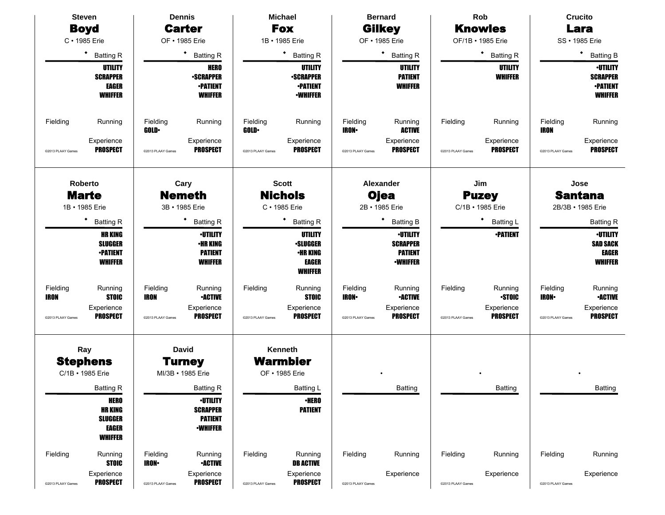|                         | <b>Steven</b>                                                                     | <b>Dennis</b>            |                                                                         |                   | <b>Michael</b>                                                                         |                         | <b>Bernard</b>                                                          |                   | Rob                              |                         | <b>Crucito</b>                                                          |
|-------------------------|-----------------------------------------------------------------------------------|--------------------------|-------------------------------------------------------------------------|-------------------|----------------------------------------------------------------------------------------|-------------------------|-------------------------------------------------------------------------|-------------------|----------------------------------|-------------------------|-------------------------------------------------------------------------|
|                         | <b>Boyd</b>                                                                       |                          | <b>Carter</b>                                                           |                   | <b>Fox</b>                                                                             |                         | <b>Gilkey</b>                                                           |                   | <b>Knowles</b>                   |                         | Lara                                                                    |
|                         | C · 1985 Erie                                                                     |                          | OF • 1985 Erie                                                          |                   | 1B · 1985 Erie                                                                         |                         | OF • 1985 Erie                                                          |                   | OF/1B • 1985 Erie                |                         | SS • 1985 Erie                                                          |
|                         | ٠<br><b>Batting R</b>                                                             |                          | * Batting R                                                             |                   | ٠<br><b>Batting R</b>                                                                  |                         | $\bullet$<br><b>Batting R</b>                                           |                   | ٠<br><b>Batting R</b>            |                         | $\bullet$<br><b>Batting B</b>                                           |
|                         | <b>UTILITY</b><br><b>SCRAPPER</b><br><b>EAGER</b><br><b>WHIFFER</b>               |                          | <b>HERO</b><br><b>•SCRAPPER</b><br><b>•PATIENT</b><br><b>WHIFFER</b>    |                   | <b>UTILITY</b><br><b>-SCRAPPER</b><br><b>-PATIENT</b><br><b>•WHIFFER</b>               |                         | <b>UTILITY</b><br><b>PATIENT</b><br><b>WHIFFER</b>                      |                   | <b>UTILITY</b><br><b>WHIFFER</b> |                         | <b>-UTILITY</b><br><b>SCRAPPER</b><br><b>-PATIENT</b><br><b>WHIFFER</b> |
| Fielding                | Running                                                                           | Fielding<br><b>GOLD</b>  | Running                                                                 | Fielding<br>GOLD· | Running                                                                                | Fielding<br><b>IRON</b> | Running<br><b>ACTIVE</b>                                                | Fielding          | Running                          | Fielding<br><b>IRON</b> | Running                                                                 |
| @2013 PLAAY Games       | Experience<br><b>PROSPECT</b>                                                     | @2013 PLAAY Games        | Experience<br><b>PROSPECT</b>                                           | @2013 PLAAY Games | Experience<br><b>PROSPECT</b>                                                          | @2013 PLAAY Games       | Experience<br><b>PROSPECT</b>                                           | @2013 PLAAY Games | Experience<br><b>PROSPECT</b>    | @2013 PLAAY Games       | Experience<br><b>PROSPECT</b>                                           |
|                         | Roberto                                                                           |                          | Cary                                                                    |                   | <b>Scott</b>                                                                           |                         | Alexander                                                               |                   | Jim                              |                         | Jose                                                                    |
|                         | <b>Marte</b><br>1B · 1985 Erie                                                    |                          | <b>Nemeth</b><br>3B · 1985 Erie                                         |                   | <b>Nichols</b><br>C · 1985 Erie                                                        |                         | <b>Ojea</b><br>2B · 1985 Erie                                           |                   | <b>Puzey</b><br>C/1B · 1985 Erie |                         | <b>Santana</b><br>2B/3B · 1985 Erie                                     |
|                         | ٠<br><b>Batting R</b>                                                             |                          | ٠<br><b>Batting R</b>                                                   |                   | <b>Batting R</b>                                                                       |                         | ٠<br><b>Batting B</b>                                                   |                   | ٠<br><b>Batting L</b>            |                         | <b>Batting R</b>                                                        |
|                         | <b>HR KING</b><br><b>SLUGGER</b><br><b>•PATIENT</b><br><b>WHIFFER</b>             |                          | <b>-UTILITY</b><br><b>•HR KING</b><br><b>PATIENT</b><br><b>WHIFFER</b>  |                   | <b>UTILITY</b><br><b>·SLUGGER</b><br><b>·HR KING</b><br><b>EAGER</b><br><b>WHIFFER</b> |                         | <b>-UTILITY</b><br><b>SCRAPPER</b><br><b>PATIENT</b><br><b>-WHIFFER</b> |                   | <b>-PATIENT</b>                  |                         | <b>-UTILITY</b><br><b>SAD SACK</b><br><b>EAGER</b><br><b>WHIFFER</b>    |
| Fielding<br><b>IRON</b> | Running<br><b>STOIC</b>                                                           | Fielding<br><b>IRON</b>  | Running<br><b>-ACTIVE</b>                                               | Fielding          | Running<br><b>STOIC</b>                                                                | Fielding<br><b>IRON</b> | Running<br><b>•ACTIVE</b>                                               | Fielding          | Running<br><b>STOIC</b>          | Fielding<br><b>IRON</b> | Running<br><b>•ACTIVE</b>                                               |
| @2013 PLAAY Games       | Experience<br><b>PROSPECT</b>                                                     | @2013 PLAAY Games        | Experience<br><b>PROSPECT</b>                                           | @2013 PLAAY Games | Experience<br><b>PROSPECT</b>                                                          | @2013 PLAAY Games       | Experience<br><b>PROSPECT</b>                                           | @2013 PLAAY Games | Experience<br><b>PROSPECT</b>    | @2013 PLAAY Games       | Experience<br><b>PROSPECT</b>                                           |
|                         | Ray                                                                               |                          | <b>David</b>                                                            |                   | Kenneth                                                                                |                         |                                                                         |                   |                                  |                         |                                                                         |
|                         | <b>Stephens</b>                                                                   |                          | <b>Turney</b>                                                           |                   | <b>Warmbier</b>                                                                        |                         |                                                                         |                   |                                  |                         |                                                                         |
|                         | C/1B · 1985 Erie                                                                  |                          | MI/3B · 1985 Erie                                                       |                   | OF • 1985 Erie                                                                         |                         |                                                                         |                   |                                  |                         |                                                                         |
|                         | <b>Batting R</b>                                                                  |                          | <b>Batting R</b>                                                        |                   | <b>Batting L</b>                                                                       |                         | Batting                                                                 |                   | <b>Batting</b>                   |                         | <b>Batting</b>                                                          |
|                         | <b>HERO</b><br><b>HR KING</b><br><b>SLUGGER</b><br><b>EAGER</b><br><b>WHIFFER</b> |                          | <b>-UTILITY</b><br><b>SCRAPPER</b><br><b>PATIENT</b><br><b>-WHIFFER</b> |                   | <b>•HERO</b><br><b>PATIENT</b>                                                         |                         |                                                                         |                   |                                  |                         |                                                                         |
| Fielding                | Running<br><b>STOIC</b>                                                           | Fielding<br><b>IRON-</b> | Running<br><b>•ACTIVE</b>                                               | Fielding          | Running<br><b>DB ACTIVE</b>                                                            | Fielding                | Running                                                                 | Fielding          | Running                          | Fielding                | Running                                                                 |
| @2013 PLAAY Games       | Experience<br><b>PROSPECT</b>                                                     | @2013 PLAAY Games        | Experience<br><b>PROSPECT</b>                                           | @2013 PLAAY Games | Experience<br><b>PROSPECT</b>                                                          | @2013 PLAAY Games       | Experience                                                              | @2013 PLAAY Games | Experience                       | @2013 PLAAY Games       | Experience                                                              |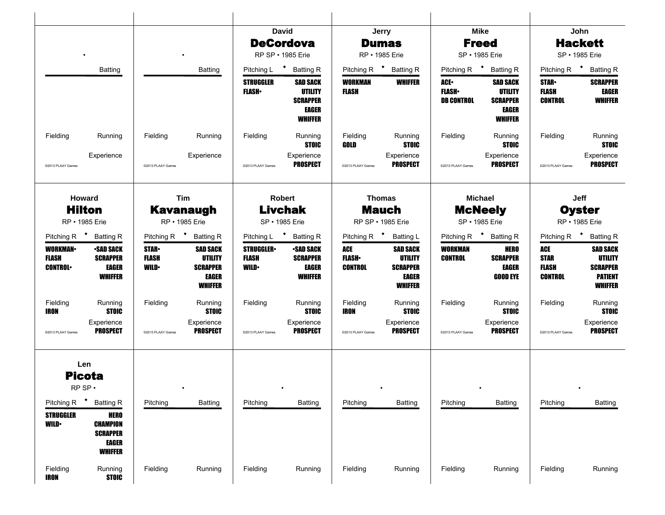|                                                                  |                                                                                                                                 |                                              |                                                                                 |                                                 | <b>David</b>                                                                           |                                       | Jerry                                                                           |                                           | <b>Mike</b>                                                                     |                                                      | John                                                                                     |
|------------------------------------------------------------------|---------------------------------------------------------------------------------------------------------------------------------|----------------------------------------------|---------------------------------------------------------------------------------|-------------------------------------------------|----------------------------------------------------------------------------------------|---------------------------------------|---------------------------------------------------------------------------------|-------------------------------------------|---------------------------------------------------------------------------------|------------------------------------------------------|------------------------------------------------------------------------------------------|
|                                                                  |                                                                                                                                 |                                              |                                                                                 |                                                 | <b>DeCordova</b>                                                                       |                                       | <b>Dumas</b>                                                                    |                                           | <b>Freed</b>                                                                    |                                                      | <b>Hackett</b>                                                                           |
|                                                                  |                                                                                                                                 |                                              | $\bullet$                                                                       |                                                 | RP SP • 1985 Erie                                                                      |                                       | RP • 1985 Erie                                                                  |                                           | SP • 1985 Erie                                                                  |                                                      | SP • 1985 Erie                                                                           |
|                                                                  | <b>Batting</b>                                                                                                                  |                                              | <b>Batting</b>                                                                  | Pitching L                                      | * Batting R                                                                            |                                       | Pitching R <sup>+</sup> Batting R                                               | Pitching R <sup>+</sup>                   | <b>Batting R</b>                                                                | Pitching R $\bullet$                                 | <b>Batting R</b>                                                                         |
|                                                                  |                                                                                                                                 |                                              |                                                                                 | <b>STRUGGLER</b><br><b>FLASH</b>                | <b>SAD SACK</b><br><b>UTILITY</b><br><b>SCRAPPER</b><br><b>EAGER</b><br><b>WHIFFER</b> | <b>WORKMAN</b><br><b>FLASH</b>        | <b>WHIFFER</b>                                                                  | ACE.<br><b>FLASH</b><br><b>DB CONTROL</b> | <b>SAD SACK</b><br><b>UTILITY</b><br><b>SCRAPPER</b><br>EAGER<br><b>WHIFFER</b> | <b>STAR-</b><br><b>FLASH</b><br><b>CONTROL</b>       | <b>SCRAPPER</b><br>EAGER<br><b>WHIFFER</b>                                               |
| Fielding                                                         | Running                                                                                                                         | Fielding                                     | Running                                                                         | Fielding                                        | Running<br><b>STOIC</b>                                                                | Fielding<br>GOLD                      | Running<br><b>STOIC</b>                                                         | Fielding                                  | Running<br><b>STOIC</b>                                                         | Fielding                                             | Running<br><b>STOIC</b>                                                                  |
| @2013 PLAAY Games                                                | Experience                                                                                                                      | @2013 PLAAY Games                            | Experience                                                                      | @2013 PLAAY Games                               | Experience<br><b>PROSPECT</b>                                                          | @2013 PLAAY Games                     | Experience<br><b>PROSPECT</b>                                                   | @2013 PLAAY Games                         | Experience<br><b>PROSPECT</b>                                                   | @2013 PLAAY Games                                    | Experience<br><b>PROSPECT</b>                                                            |
| Howard                                                           |                                                                                                                                 |                                              | Tim                                                                             |                                                 | Robert                                                                                 |                                       | <b>Thomas</b>                                                                   |                                           | <b>Michael</b>                                                                  |                                                      | Jeff                                                                                     |
|                                                                  | <b>Hilton</b>                                                                                                                   |                                              | <b>Kavanaugh</b>                                                                |                                                 | <b>Livchak</b>                                                                         |                                       | <b>Mauch</b>                                                                    |                                           | <b>McNeely</b>                                                                  |                                                      | <b>Oyster</b>                                                                            |
|                                                                  | RP • 1985 Erie                                                                                                                  |                                              | RP • 1985 Erie                                                                  |                                                 | SP • 1985 Erie                                                                         |                                       | RP SP · 1985 Erie                                                               |                                           | SP • 1985 Erie                                                                  |                                                      | RP · 1985 Erie                                                                           |
| Pitching R <sup>+</sup> Batting R                                |                                                                                                                                 | Pitching R $\bullet$                         | <b>Batting R</b>                                                                | Pitching L                                      | * Batting R                                                                            |                                       | Pitching R <sup>+</sup> Batting L                                               | Pitching R <sup>+</sup>                   | <b>Batting R</b>                                                                | Pitching R                                           | * Batting R                                                                              |
| <b>WORKMAN</b><br><b>FLASH</b><br><b>CONTROL</b>                 | <b>SAD SACK</b><br><b>SCRAPPER</b><br>EAGER<br><b>WHIFFER</b>                                                                   | <b>STAR-</b><br><b>FLASH</b><br><b>WILD•</b> | <b>SAD SACK</b><br><b>UTILITY</b><br><b>SCRAPPER</b><br>EAGER<br><b>WHIFFER</b> | <b>STRUGGLER</b><br><b>FLASH</b><br><b>WILD</b> | <b>SAD SACK</b><br><b>SCRAPPER</b><br><b>EAGER</b><br><b>WHIFFER</b>                   | ACE<br><b>FLASH</b><br><b>CONTROL</b> | <b>SAD SACK</b><br><b>UTILITY</b><br><b>SCRAPPER</b><br>EAGER<br><b>WHIFFER</b> | <b>WORKMAN</b><br><b>CONTROL</b>          | <b>HERO</b><br><b>SCRAPPER</b><br>EAGER<br><b>GOOD EYE</b>                      | ACE<br><b>STAR</b><br><b>FLASH</b><br><b>CONTROL</b> | <b>SAD SACK</b><br><b>UTILITY</b><br><b>SCRAPPER</b><br><b>PATIENT</b><br><b>WHIFFER</b> |
| Fielding<br>IRON                                                 | Running<br><b>STOIC</b>                                                                                                         | Fielding                                     | Running<br><b>STOIC</b>                                                         | Fielding                                        | Running<br><b>STOIC</b>                                                                | Fielding<br>IRON                      | Running<br><b>STOIC</b>                                                         | Fielding                                  | Running<br><b>STOIC</b>                                                         | Fielding                                             | Running<br><b>STOIC</b>                                                                  |
| @2013 PLAAY Games                                                | Experience<br><b>PROSPECT</b>                                                                                                   | @2013 PLAAY Games                            | Experience<br><b>PROSPECT</b>                                                   | @2013 PLAAY Games                               | Experience<br><b>PROSPECT</b>                                                          | @2013 PLAAY Games                     | Experience<br>PROSPECT                                                          | @2013 PLAAY Games                         | Experience<br><b>PROSPECT</b>                                                   | @2013 PLAAY Games                                    | Experience<br><b>PROSPECT</b>                                                            |
| $RP$ SP $\cdot$<br>Pitching R<br><b>STRUGGLER</b><br><b>WILD</b> | Len<br><b>Picota</b><br><b>Batting R</b><br><b>HERO</b><br><b>CHAMPION</b><br><b>SCRAPPER</b><br><b>EAGER</b><br><b>WHIFFER</b> | Pitching                                     | Batting                                                                         | Pitching                                        | Batting                                                                                | Pitching                              | Batting                                                                         | Pitching                                  | Batting                                                                         | Pitching                                             | Batting                                                                                  |
| Fielding<br><b>IRON</b>                                          | Running<br><b>STOIC</b>                                                                                                         | Fielding                                     | Running                                                                         | Fielding                                        | Running                                                                                | Fielding                              | Running                                                                         | Fielding                                  | Running                                                                         | Fielding                                             | Running                                                                                  |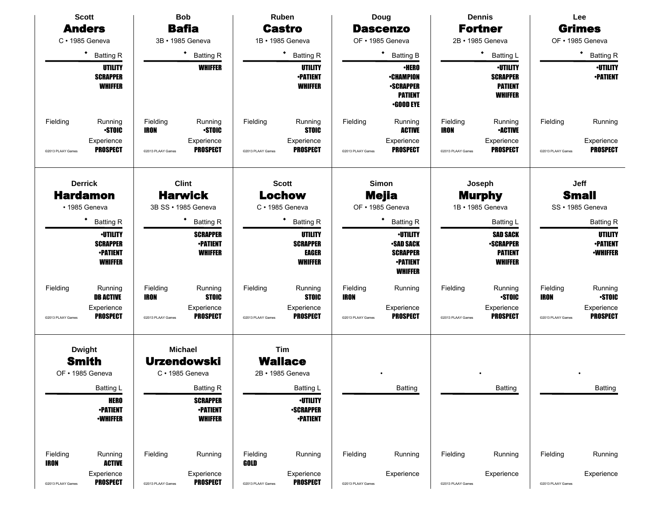|                         | <b>Scott</b>                                                            |                         | <b>Bob</b>                                                               |                   | <b>Ruben</b>                                                        |                   | Doug                                                                                       |                         | <b>Dennis</b>                                                           |                         | Lee                                                  |
|-------------------------|-------------------------------------------------------------------------|-------------------------|--------------------------------------------------------------------------|-------------------|---------------------------------------------------------------------|-------------------|--------------------------------------------------------------------------------------------|-------------------------|-------------------------------------------------------------------------|-------------------------|------------------------------------------------------|
|                         | <b>Anders</b>                                                           |                         | <b>Bafia</b>                                                             |                   | <b>Castro</b>                                                       |                   | <b>Dascenzo</b>                                                                            |                         | <b>Fortner</b>                                                          |                         | <b>Grimes</b>                                        |
|                         | $C \cdot 1985$ Geneva                                                   |                         | 3B · 1985 Geneva                                                         |                   | 1B · 1985 Geneva                                                    |                   | OF · 1985 Geneva                                                                           |                         | 2B · 1985 Geneva                                                        |                         | OF • 1985 Geneva                                     |
|                         | ٠<br><b>Batting R</b>                                                   |                         | ٠<br><b>Batting R</b>                                                    |                   | $\bullet$<br><b>Batting R</b>                                       |                   | ٠<br><b>Batting B</b>                                                                      |                         | ٠<br><b>Batting L</b>                                                   |                         | ٠<br><b>Batting R</b>                                |
|                         | UTILITY<br><b>SCRAPPER</b><br><b>WHIFFER</b>                            |                         | <b>WHIFFER</b>                                                           |                   | UTILITY<br><b>-PATIENT</b><br><b>WHIFFER</b>                        |                   | <b>•HERO</b><br><b>•CHAMPION</b><br><b>SCRAPPER</b><br><b>PATIENT</b><br><b>•GOOD EYE</b>  |                         | <b>·UTILITY</b><br><b>SCRAPPER</b><br><b>PATIENT</b><br><b>WHIFFER</b>  |                         | <b>-UTILITY</b><br><b>-PATIENT</b>                   |
| Fielding                | Running<br><b>STOIC</b>                                                 | Fielding<br><b>IRON</b> | Running<br><b>STOIC</b>                                                  | Fielding          | Running<br><b>STOIC</b>                                             | Fielding          | Running<br><b>ACTIVE</b>                                                                   | Fielding<br><b>IRON</b> | Running<br><b>•ACTIVE</b>                                               | Fielding                | Running                                              |
| @2013 PLAAY Games       | Experience<br><b>PROSPECT</b>                                           | @2013 PLAAY Games       | Experience<br><b>PROSPECT</b>                                            | @2013 PLAAY Games | Experience<br><b>PROSPECT</b>                                       | @2013 PLAAY Games | Experience<br><b>PROSPECT</b>                                                              | @2013 PLAAY Games       | Experience<br><b>PROSPECT</b>                                           | @2013 PLAAY Games       | Experience<br><b>PROSPECT</b>                        |
|                         | <b>Derrick</b><br><b>Hardamon</b><br>• 1985 Geneva                      |                         | <b>Clint</b><br><b>Harwick</b><br>3B SS · 1985 Geneva                    |                   | <b>Scott</b><br>Lochow<br>$C \cdot 1985$ Geneva                     |                   | <b>Simon</b><br><b>Mejia</b><br>OF • 1985 Geneva                                           |                         | Joseph<br><b>Murphy</b><br>1B · 1985 Geneva                             |                         | Jeff<br><b>Small</b><br>SS · 1985 Geneva             |
|                         | ٠<br><b>Batting R</b>                                                   |                         | <b>Batting R</b>                                                         |                   | ٠<br><b>Batting R</b>                                               |                   | ٠<br><b>Batting R</b>                                                                      |                         | <b>Batting L</b>                                                        |                         | <b>Batting R</b>                                     |
|                         | <b>-UTILITY</b><br><b>SCRAPPER</b><br><b>•PATIENT</b><br><b>WHIFFER</b> |                         | <b>SCRAPPER</b><br><b>•PATIENT</b><br><b>WHIFFER</b>                     |                   | <b>UTILITY</b><br><b>SCRAPPER</b><br>EAGER<br><b>WHIFFER</b>        |                   | <b>-UTILITY</b><br><b>SAD SACK</b><br><b>SCRAPPER</b><br><b>•PATIENT</b><br><b>WHIFFER</b> |                         | <b>SAD SACK</b><br><b>-SCRAPPER</b><br><b>PATIENT</b><br><b>WHIFFER</b> |                         | <b>UTILITY</b><br><b>-PATIENT</b><br><b>-WHIFFER</b> |
| Fielding                | Running<br><b>DB ACTIVE</b>                                             | Fielding<br><b>IRON</b> | Running<br><b>STOIC</b>                                                  | Fielding          | Running<br><b>STOIC</b>                                             | Fielding<br>IRON  | Running                                                                                    | Fielding                | Running<br><b>STOIC</b>                                                 | Fielding<br><b>IRON</b> | Running<br><b>STOIC</b>                              |
| @2013 PLAAY Games       | Experience<br><b>PROSPECT</b>                                           | @2013 PLAAY Games       | Experience<br><b>PROSPECT</b>                                            | @2013 PLAAY Games | Experience<br><b>PROSPECT</b>                                       | @2013 PLAAY Games | Experience<br><b>PROSPECT</b>                                                              | @2013 PLAAY Games       | Experience<br><b>PROSPECT</b>                                           | @2013 PLAAY Games       | Experience<br><b>PROSPECT</b>                        |
|                         | <b>Dwight</b><br><b>Smith</b><br>OF • 1985 Geneva                       |                         | <b>Michael</b><br><b>Urzendowski</b><br>$C \cdot 1985$ Geneva            |                   | Tim<br><b>Wallace</b><br>2B • 1985 Geneva                           |                   |                                                                                            |                         |                                                                         |                         |                                                      |
|                         | Batting L<br><b>HERO</b><br><b>-PATIENT</b><br><b>•WHIFFER</b>          |                         | <b>Batting R</b><br><b>SCRAPPER</b><br><b>-PATIENT</b><br><b>WHIFFER</b> |                   | Batting L<br><b>-UTILITY</b><br><b>-SCRAPPER</b><br><b>-PATIENT</b> |                   | Batting                                                                                    |                         | Batting                                                                 |                         | <b>Batting</b>                                       |
| Fielding<br><b>IRON</b> | Running<br><b>ACTIVE</b>                                                | Fielding                | Running                                                                  | Fielding<br>GOLD  | Running                                                             | Fielding          | Running                                                                                    | Fielding                | Running                                                                 | Fielding                | Running<br>Experience                                |
| @2013 PLAAY Games       | Experience<br><b>PROSPECT</b>                                           | @2013 PLAAY Games       | Experience<br><b>PROSPECT</b>                                            | @2013 PLAAY Games | Experience<br><b>PROSPECT</b>                                       | @2013 PLAAY Games | Experience                                                                                 | @2013 PLAAY Games       | Experience                                                              | @2013 PLAAY Games       |                                                      |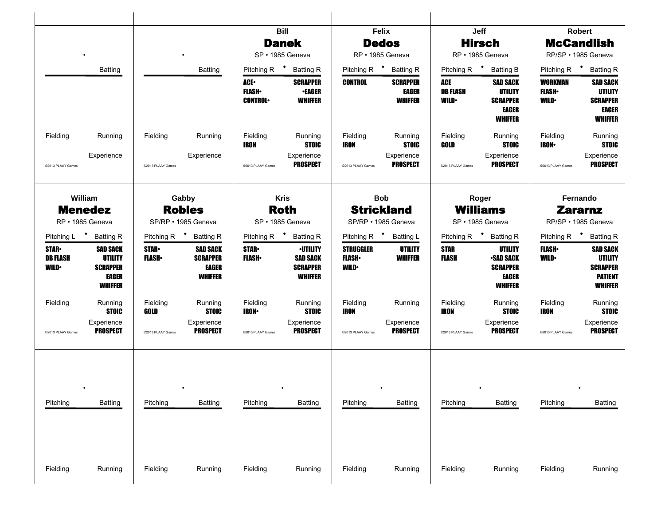|                                                 |                                                                                 |                               |                                                               |                                               | Bill                                                             |                                                   | Felix                                             |                                        | Jeff                                                                            |                                          | Robert                                                                                   |
|-------------------------------------------------|---------------------------------------------------------------------------------|-------------------------------|---------------------------------------------------------------|-----------------------------------------------|------------------------------------------------------------------|---------------------------------------------------|---------------------------------------------------|----------------------------------------|---------------------------------------------------------------------------------|------------------------------------------|------------------------------------------------------------------------------------------|
|                                                 |                                                                                 |                               |                                                               |                                               | <b>Danek</b>                                                     |                                                   | <b>Dedos</b>                                      |                                        | <b>Hirsch</b>                                                                   |                                          | <b>McCandlish</b>                                                                        |
|                                                 |                                                                                 |                               |                                                               |                                               | SP · 1985 Geneva                                                 |                                                   | RP · 1985 Geneva                                  |                                        | RP · 1985 Geneva                                                                |                                          | RP/SP · 1985 Geneva                                                                      |
|                                                 | <b>Batting</b>                                                                  |                               | <b>Batting</b>                                                | Pitching R <sup>+</sup>                       | <b>Batting R</b>                                                 | Pitching R <sup>+</sup> Batting R                 |                                                   | Pitching R <sup>+</sup>                | <b>Batting B</b>                                                                | Pitching R <sup>+</sup>                  | <b>Batting R</b>                                                                         |
|                                                 |                                                                                 |                               |                                                               | <b>ACE-</b><br><b>FLASH</b><br><b>CONTROL</b> | <b>SCRAPPER</b><br><b>•EAGER</b><br><b>WHIFFER</b>               | CONTROL                                           | <b>SCRAPPER</b><br><b>EAGER</b><br><b>WHIFFER</b> | ACE<br><b>DB FLASH</b><br><b>WILD•</b> | <b>SAD SACK</b><br><b>UTILITY</b><br><b>SCRAPPER</b><br>EAGER<br><b>WHIFFER</b> | WORKMAN<br><b>FLASH</b> •<br><b>WILD</b> | <b>SAD SACK</b><br><b>UTILITY</b><br><b>SCRAPPER</b><br><b>EAGER</b><br><b>WHIFFER</b>   |
| Fielding                                        | Running                                                                         | Fielding                      | Running                                                       | Fielding<br>IRON                              | Running<br><b>STOIC</b>                                          | Fielding<br>IRON                                  | Running<br><b>STOIC</b>                           | Fielding<br>GOLD                       | Running<br><b>STOIC</b>                                                         | Fielding<br><b>IRON•</b>                 | Running<br><b>STOIC</b>                                                                  |
| @2013 PLAAY Games                               | Experience                                                                      | @2013 PLAAY Games             | Experience                                                    | @2013 PLAAY Games                             | Experience<br>PROSPECT                                           | @2013 PLAAY Games                                 | Experience<br><b>PROSPECT</b>                     | @2013 PLAAY Games                      | Experience<br><b>PROSPECT</b>                                                   | @2013 PLAAY Games                        | Experience<br><b>PROSPECT</b>                                                            |
|                                                 | William                                                                         |                               | Gabby                                                         |                                               | <b>Kris</b>                                                      |                                                   | <b>Bob</b>                                        |                                        | Roger                                                                           |                                          | Fernando                                                                                 |
|                                                 | <b>Menedez</b><br>RP · 1985 Geneva                                              |                               | <b>Robles</b><br>SP/RP · 1985 Geneva                          |                                               | <b>Roth</b><br>SP · 1985 Geneva                                  | <b>Strickland</b><br>SP/RP · 1985 Geneva          |                                                   |                                        | <b>Williams</b><br>SP · 1985 Geneva                                             |                                          | <b>Zararnz</b><br>RP/SP · 1985 Geneva                                                    |
|                                                 | Pitching L * Batting R                                                          |                               | Pitching R <sup>+</sup> Batting R                             | Pitching R <sup>+</sup> Batting R             |                                                                  | Pitching R <sup>+</sup> Batting L                 |                                                   |                                        | Pitching R <sup>+</sup> Batting R                                               | Pitching R <sup>+</sup>                  | <b>Batting R</b>                                                                         |
| <b>STAR-</b><br><b>DB FLASH</b><br><b>WILD•</b> | <b>SAD SACK</b><br><b>UTILITY</b><br><b>SCRAPPER</b><br>EAGER<br><b>WHIFFER</b> | <b>STAR</b><br><b>FLASH</b> • | <b>SAD SACK</b><br><b>SCRAPPER</b><br><b>EAGER</b><br>WHIFFER | <b>STAR</b> •<br><b>FLASH</b>                 | <b>•UTILITY</b><br><b>SAD SACK</b><br><b>SCRAPPER</b><br>WHIFFER | <b>STRUGGLER</b><br><b>FLASH</b> •<br><b>WILD</b> | <b>UTILITY</b><br><b>WHIFFER</b>                  | <b>STAR</b><br>FLASH                   | UTILITY<br><b>SAD SACK</b><br><b>SCRAPPER</b><br>EAGER<br><b>WHIFFER</b>        | <b>FLASH</b><br><b>WILD</b>              | <b>SAD SACK</b><br><b>UTILITY</b><br><b>SCRAPPER</b><br><b>PATIENT</b><br><b>WHIFFER</b> |
| Fielding                                        | Running<br><b>STOIC</b>                                                         | Fielding<br>GOLD              | Running<br><b>STOIC</b>                                       | Fielding<br><b>IRON•</b>                      | Running<br><b>STOIC</b>                                          | Fielding<br>IRON                                  | Running                                           | Fielding<br><b>IRON</b>                | Running<br><b>STOIC</b>                                                         | Fielding<br>IRON                         | Running<br><b>STOIC</b>                                                                  |
| @2013 PLAAY Games                               | Experience<br><b>PROSPECT</b>                                                   | @2013 PLAAY Games             | Experience<br><b>PROSPECT</b>                                 | @2013 PLAAY Games                             | Experience<br>PROSPECT                                           | @2013 PLAAY Games                                 | Experience<br><b>PROSPECT</b>                     | @2013 PLAAY Games                      | Experience<br><b>PROSPECT</b>                                                   | @2013 PLAAY Games                        | Experience<br><b>PROSPECT</b>                                                            |
| Pitching                                        | <b>Batting</b>                                                                  | Pitching                      | <b>Batting</b>                                                | Pitching                                      | Batting                                                          | Pitching                                          | Batting                                           | Pitching                               | <b>Batting</b>                                                                  | Pitching                                 | Batting                                                                                  |
| Fielding                                        | Running                                                                         | Fielding                      | Running                                                       | Fielding                                      | Running                                                          | Fielding                                          | Running                                           | Fielding                               | Running                                                                         | Fielding                                 | Running                                                                                  |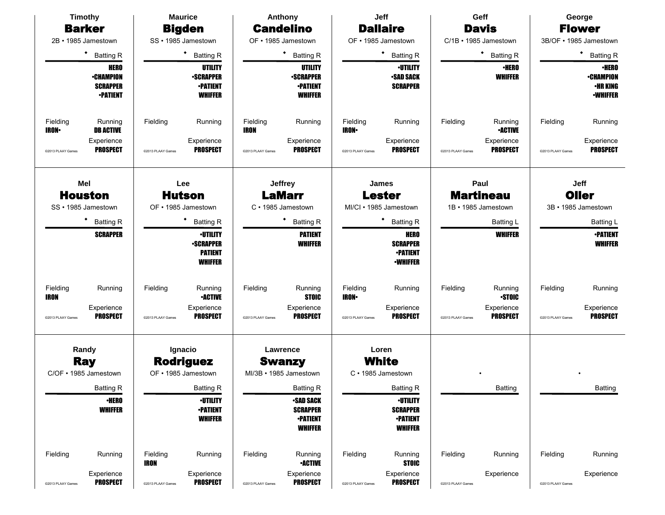| <b>Timothy</b>                                                        | <b>Maurice</b>                                                           | Anthony                                                                                      | Jeff                                                                                 | Geff                                               | George                                                                 |
|-----------------------------------------------------------------------|--------------------------------------------------------------------------|----------------------------------------------------------------------------------------------|--------------------------------------------------------------------------------------|----------------------------------------------------|------------------------------------------------------------------------|
| <b>Barker</b><br>2B · 1985 Jamestown                                  | <b>Bigden</b><br>SS · 1985 Jamestown                                     | <b>Candelino</b><br>OF • 1985 Jamestown                                                      | <b>Dallaire</b><br>OF • 1985 Jamestown                                               | <b>Davis</b><br>C/1B · 1985 Jamestown              | <b>Flower</b><br>3B/OF • 1985 Jamestown                                |
|                                                                       |                                                                          |                                                                                              |                                                                                      |                                                    |                                                                        |
| ٠<br><b>Batting R</b>                                                 | $\bullet$<br><b>Batting R</b>                                            | ٠<br><b>Batting R</b>                                                                        | $\bullet$<br><b>Batting R</b>                                                        | * Batting R                                        | $\bullet$<br><b>Batting R</b>                                          |
| <b>HERO</b><br><b>•CHAMPION</b><br><b>SCRAPPER</b><br><b>•PATIENT</b> | UTILITY<br><b>-SCRAPPER</b><br><b>-PATIENT</b><br><b>WHIFFER</b>         | <b>UTILITY</b><br><b>-SCRAPPER</b><br><b>-PATIENT</b><br><b>WHIFFER</b>                      | <b>-UTILITY</b><br><b>-SAD SACK</b><br><b>SCRAPPER</b>                               | <b>•HERO</b><br><b>WHIFFER</b>                     | <b>•HERO</b><br><b>•CHAMPION</b><br><b>·HR KING</b><br><b>-WHIFFER</b> |
| Fielding<br>Running<br><b>IRON-</b><br><b>DB ACTIVE</b>               | Fielding<br>Running                                                      | Fielding<br>Running<br>IRON                                                                  | Fielding<br>Running<br><b>IRON</b> •                                                 | Fielding<br>Running<br><b>•ACTIVE</b>              | Fielding<br>Running                                                    |
| Experience<br><b>PROSPECT</b><br>@2013 PLAAY Games                    | Experience<br><b>PROSPECT</b><br>@2013 PLAAY Games                       | Experience<br><b>PROSPECT</b><br>@2013 PLAAY Games                                           | Experience<br><b>PROSPECT</b><br>@2013 PLAAY Games                                   | Experience<br><b>PROSPECT</b><br>@2013 PLAAY Games | Experience<br><b>PROSPECT</b><br>@2013 PLAAY Games                     |
| Mel                                                                   | Lee                                                                      | <b>Jeffrey</b>                                                                               | <b>James</b>                                                                         | Paul                                               | Jeff                                                                   |
| <b>Houston</b>                                                        | <b>Hutson</b>                                                            | <b>LaMarr</b>                                                                                | <b>Lester</b>                                                                        | <b>Martineau</b>                                   | Oller                                                                  |
| SS · 1985 Jamestown                                                   | OF • 1985 Jamestown<br>٠                                                 | C · 1985 Jamestown                                                                           | MI/CI · 1985 Jamestown                                                               | 1B · 1985 Jamestown                                | 3B · 1985 Jamestown                                                    |
| <b>Batting R</b>                                                      | <b>Batting R</b>                                                         | ٠<br><b>Batting R</b>                                                                        | ٠<br><b>Batting R</b>                                                                | Batting L                                          | <b>Batting L</b>                                                       |
| <b>SCRAPPER</b>                                                       | <b>-UTILITY</b><br><b>-SCRAPPER</b><br><b>PATIENT</b><br><b>WHIFFER</b>  | <b>PATIENT</b><br><b>WHIFFER</b>                                                             | <b>HERO</b><br><b>SCRAPPER</b><br><b>•PATIENT</b><br><b>•WHIFFER</b>                 | <b>WHIFFER</b>                                     | <b>-PATIENT</b><br><b>WHIFFER</b>                                      |
| Fielding<br>Running<br><b>IRON</b><br>Experience                      | Fielding<br>Running<br><b>•ACTIVE</b><br>Experience                      | Fielding<br>Running<br><b>STOIC</b><br>Experience                                            | Fielding<br>Running<br><b>IRON</b> •<br>Experience                                   | Fielding<br>Running<br><b>STOIC</b><br>Experience  | Fielding<br>Running<br>Experience                                      |
| <b>PROSPECT</b><br>@2013 PLAAY Games                                  | <b>PROSPECT</b><br>@2013 PLAAY Games                                     | <b>PROSPECT</b><br>@2013 PLAAY Games                                                         | <b>PROSPECT</b><br>@2013 PLAAY Games                                                 | <b>PROSPECT</b><br>@2013 PLAAY Games               | <b>PROSPECT</b><br>@2013 PLAAY Games                                   |
| Randy<br><b>Ray</b><br>C/OF • 1985 Jamestown                          | Ignacio<br><b>Rodriguez</b><br>OF • 1985 Jamestown                       | Lawrence<br><b>Swanzy</b><br>MI/3B · 1985 Jamestown                                          | Loren<br><b>White</b><br>C · 1985 Jamestown                                          |                                                    |                                                                        |
| Batting R<br><b>•HERO</b><br><b>WHIFFER</b>                           | <b>Batting R</b><br><b>-UTILITY</b><br><b>-PATIENT</b><br><b>WHIFFER</b> | <b>Batting R</b><br><b>-SAD SACK</b><br><b>SCRAPPER</b><br><b>•PATIENT</b><br><b>WHIFFER</b> | Batting R<br><b>-UTILITY</b><br><b>SCRAPPER</b><br><b>•PATIENT</b><br><b>WHIFFER</b> | Batting                                            | Batting                                                                |
| Fielding<br>Running                                                   | Fielding<br>Running<br><b>IRON</b>                                       | Fielding<br>Running<br><b>•ACTIVE</b>                                                        | Fielding<br>Running<br><b>STOIC</b>                                                  | Fielding<br>Running                                | Fielding<br>Running                                                    |
| Experience<br><b>PROSPECT</b><br>@2013 PLAAY Games                    | Experience<br><b>PROSPECT</b><br>@2013 PLAAY Games                       | Experience<br><b>PROSPECT</b><br>@2013 PLAAY Games                                           | Experience<br><b>PROSPECT</b><br>@2013 PLAAY Games                                   | Experience<br>@2013 PLAAY Games                    | Experience<br>@2013 PLAAY Games                                        |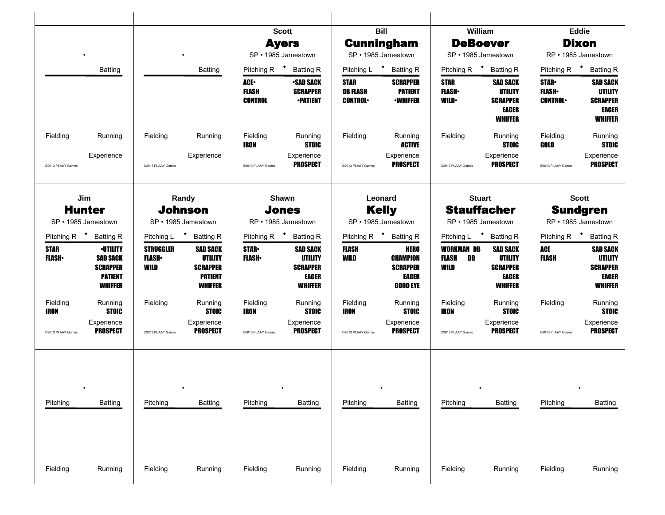|                                   |                                                                                           |                                          |                                                                                          | SP · 1985 Jamestown                           | <b>Scott</b><br><b>Ayers</b>                                                    |                                                  | <b>Bill</b><br><b>Cunningham</b><br>SP · 1985 Jamestown                       | William<br><b>DeBoever</b><br>SP · 1985 Jamestown |                                                                                        |                                                | Eddie<br><b>Dixon</b><br>RP · 1985 Jamestown                                           |
|-----------------------------------|-------------------------------------------------------------------------------------------|------------------------------------------|------------------------------------------------------------------------------------------|-----------------------------------------------|---------------------------------------------------------------------------------|--------------------------------------------------|-------------------------------------------------------------------------------|---------------------------------------------------|----------------------------------------------------------------------------------------|------------------------------------------------|----------------------------------------------------------------------------------------|
|                                   | Batting                                                                                   |                                          | <b>Batting</b>                                                                           | Pitching R <sup>+</sup>                       | <b>Batting R</b>                                                                |                                                  | Pitching L <sup>+</sup> Batting R                                             | Pitching R <sup>+</sup>                           | <b>Batting R</b>                                                                       | Pitching R <sup>+</sup>                        | <b>Batting R</b>                                                                       |
|                                   |                                                                                           |                                          |                                                                                          | <b>ACE-</b><br><b>FLASH</b><br><b>CONTROL</b> | <b>•SAD SACK</b><br><b>SCRAPPER</b><br><b>•PATIENT</b>                          | <b>STAR</b><br><b>DB FLASH</b><br><b>CONTROL</b> | <b>SCRAPPER</b><br><b>PATIENT</b><br><b>•WHIFFER</b>                          | <b>STAR</b><br><b>FLASH</b><br><b>WILD</b>        | <b>SAD SACK</b><br><b>UTILITY</b><br><b>SCRAPPER</b><br><b>EAGER</b><br><b>WHIFFER</b> | <b>STAR-</b><br><b>FLASH</b><br><b>CONTROL</b> | <b>SAD SACK</b><br><b>UTILITY</b><br><b>SCRAPPER</b><br><b>EAGER</b><br><b>WHIFFER</b> |
| Fielding                          | Running                                                                                   | Fielding                                 | Running                                                                                  | Fielding<br>IRON                              | Running<br><b>STOIC</b>                                                         | Fielding                                         | Running<br><b>ACTIVE</b>                                                      | Fielding                                          | Running<br><b>STOIC</b>                                                                | Fielding<br>GOLD                               | Running<br><b>STOIC</b>                                                                |
| @2013 PLAAY Games                 | Experience                                                                                | @2013 PLAAY Games                        | Experience                                                                               | @2013 PLAAY Games                             | Experience<br><b>PROSPECT</b>                                                   | @2013 PLAAY Games                                | Experience<br><b>PROSPECT</b>                                                 | @2013 PLAAY Games                                 | Experience<br><b>PROSPECT</b>                                                          | @2013 PLAAY Games                              | Experience<br><b>PROSPECT</b>                                                          |
| Jim<br><b>Hunter</b>              |                                                                                           |                                          | Randy<br><b>Johnson</b>                                                                  |                                               | Shawn<br><b>Jones</b>                                                           |                                                  | Leonard<br><b>Kelly</b>                                                       | <b>Stuart</b><br><b>Stauffacher</b>               |                                                                                        |                                                | <b>Scott</b><br><b>Sundgren</b>                                                        |
| SP · 1985 Jamestown               |                                                                                           |                                          | SP · 1985 Jamestown                                                                      |                                               | RP • 1985 Jamestown                                                             |                                                  | SP · 1985 Jamestown                                                           | RP · 1985 Jamestown                               |                                                                                        |                                                | RP · 1985 Jamestown                                                                    |
| Pitching R <sup>+</sup> Batting R |                                                                                           |                                          | Pitching L <sup>+</sup> Batting R                                                        | Pitching R <sup>+</sup> Batting R             |                                                                                 |                                                  | Pitching R <sup>+</sup> Batting R                                             | Pitching L <sup>+</sup>                           | <b>Batting R</b>                                                                       | Pitching R <sup>+</sup>                        | <b>Batting R</b>                                                                       |
| <b>STAR</b><br><b>FLASH</b> •     | <b>·UTILITY</b><br><b>SAD SACK</b><br><b>SCRAPPER</b><br><b>PATIENT</b><br><b>WHIFFER</b> | <b>STRUGGLER</b><br><b>FLASH</b><br>WILD | <b>SAD SACK</b><br><b>UTILITY</b><br><b>SCRAPPER</b><br><b>PATIENT</b><br><b>WHIFFER</b> | <b>STAR</b><br><b>FLASH</b>                   | <b>SAD SACK</b><br><b>UTILITY</b><br><b>SCRAPPER</b><br>EAGER<br><b>WHIFFER</b> | <b>FLASH</b><br>WILD                             | <b>HERO</b><br><b>CHAMPION</b><br><b>SCRAPPER</b><br>EAGER<br><b>GOOD EYE</b> | WORKMAN DB<br>DB<br><b>FLASH</b><br>WILD          | <b>SAD SACK</b><br><b>UTILITY</b><br><b>SCRAPPER</b><br><b>EAGER</b><br><b>WHIFFER</b> | <b>ACE</b><br><b>FLASH</b>                     | <b>SAD SACK</b><br><b>UTILITY</b><br><b>SCRAPPER</b><br><b>EAGER</b><br><b>WHIFFER</b> |
| Fielding<br>IRON                  | Running<br><b>STOIC</b>                                                                   | Fielding                                 | Running<br><b>STOIC</b>                                                                  | Fielding<br>IRON                              | Running<br><b>STOIC</b>                                                         | Fielding<br>IRON                                 | Running<br><b>STOIC</b>                                                       | Fielding<br><b>IRON</b>                           | Running<br><b>STOIC</b>                                                                | Fielding                                       | Running<br><b>STOIC</b>                                                                |
| @2013 PLAAY Games                 | Experience<br><b>PROSPECT</b>                                                             | @2013 PLAAY Games                        | Experience<br><b>PROSPECT</b>                                                            | @2013 PLAAY Games                             | Experience<br>PROSPECT                                                          | @2013 PLAAY Games                                | Experience<br><b>PROSPECT</b>                                                 | @2013 PLAAY Games                                 | Experience<br><b>PROSPECT</b>                                                          | @2013 PLAAY Games                              | Experience<br><b>PROSPECT</b>                                                          |
| Pitching                          | <b>Batting</b>                                                                            | Pitching                                 | <b>Batting</b>                                                                           | Pitching                                      | Batting                                                                         | Pitching                                         | Batting                                                                       | Pitching                                          | <b>Batting</b>                                                                         | Pitching                                       | Batting                                                                                |
|                                   |                                                                                           |                                          |                                                                                          |                                               |                                                                                 |                                                  |                                                                               |                                                   |                                                                                        |                                                |                                                                                        |
|                                   |                                                                                           |                                          |                                                                                          |                                               |                                                                                 |                                                  |                                                                               |                                                   |                                                                                        |                                                |                                                                                        |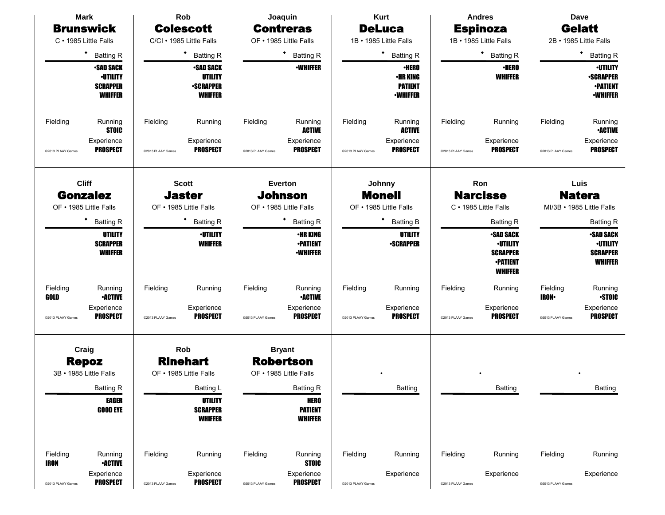|                         | <b>Mark</b>                                                              |                   | Rob                                                                      |                   | Joaquin                                                     |                   | <b>Kurt</b>                                                          |                   | <b>Andres</b>                                                                               |                         | Dave                                                                      |
|-------------------------|--------------------------------------------------------------------------|-------------------|--------------------------------------------------------------------------|-------------------|-------------------------------------------------------------|-------------------|----------------------------------------------------------------------|-------------------|---------------------------------------------------------------------------------------------|-------------------------|---------------------------------------------------------------------------|
|                         | <b>Brunswick</b>                                                         |                   | <b>Colescott</b>                                                         |                   | <b>Contreras</b>                                            |                   | <b>DeLuca</b>                                                        |                   | <b>Espinoza</b>                                                                             |                         | <b>Gelatt</b>                                                             |
|                         | C · 1985 Little Falls                                                    |                   | C/CI · 1985 Little Falls                                                 |                   | OF . 1985 Little Falls                                      |                   | 1B • 1985 Little Falls                                               |                   | 1B · 1985 Little Falls                                                                      |                         | 2B · 1985 Little Falls                                                    |
|                         | ٠<br><b>Batting R</b>                                                    |                   | ٠<br><b>Batting R</b>                                                    |                   | ٠<br><b>Batting R</b>                                       |                   | ٠<br><b>Batting R</b>                                                |                   | ٠<br><b>Batting R</b>                                                                       |                         | ٠<br><b>Batting R</b>                                                     |
|                         | <b>-SAD SACK</b><br><b>·UTILITY</b><br><b>SCRAPPER</b><br><b>WHIFFER</b> |                   | <b>•SAD SACK</b><br><b>UTILITY</b><br><b>•SCRAPPER</b><br><b>WHIFFER</b> |                   | <b>•WHIFFER</b>                                             |                   | <b>•HERO</b><br><b>•HR KING</b><br><b>PATIENT</b><br><b>•WHIFFER</b> |                   | <b>•HERO</b><br><b>WHIFFER</b>                                                              |                         | <b>·UTILITY</b><br><b>•SCRAPPER</b><br><b>•PATIENT</b><br><b>-WHIFFER</b> |
| Fielding                | Running<br><b>STOIC</b>                                                  | Fielding          | Running                                                                  | Fielding          | Running<br><b>ACTIVE</b>                                    | Fielding          | Running<br><b>ACTIVE</b>                                             | Fielding          | Running                                                                                     | Fielding                | Running<br><b>•ACTIVE</b>                                                 |
| @2013 PLAAY Games       | Experience<br><b>PROSPECT</b>                                            | @2013 PLAAY Games | Experience<br><b>PROSPECT</b>                                            | @2013 PLAAY Games | Experience<br><b>PROSPECT</b>                               | @2013 PLAAY Games | Experience<br><b>PROSPECT</b>                                        | @2013 PLAAY Games | Experience<br><b>PROSPECT</b>                                                               | @2013 PLAAY Games       | Experience<br><b>PROSPECT</b>                                             |
|                         | <b>Cliff</b><br><b>Gonzalez</b><br>OF • 1985 Little Falls                |                   | <b>Scott</b><br><b>Jaster</b><br>OF • 1985 Little Falls                  |                   | <b>Everton</b><br><b>Johnson</b><br>OF • 1985 Little Falls  |                   | Johnny<br><b>Monell</b><br>OF • 1985 Little Falls                    |                   | Ron<br><b>Narcisse</b><br>C · 1985 Little Falls                                             |                         | Luis<br><b>Natera</b><br>MI/3B · 1985 Little Falls                        |
|                         | ٠<br><b>Batting R</b>                                                    |                   | <b>Batting R</b>                                                         |                   | ٠<br><b>Batting R</b>                                       |                   | ٠<br><b>Batting B</b>                                                |                   | <b>Batting R</b>                                                                            |                         | <b>Batting R</b>                                                          |
|                         | UTILITY<br><b>SCRAPPER</b><br><b>WHIFFER</b>                             |                   | <b>-UTILITY</b><br><b>WHIFFER</b>                                        |                   | <b>•HR KING</b><br><b>•PATIENT</b><br><b>•WHIFFER</b>       |                   | <b>UTILITY</b><br><b>-SCRAPPER</b>                                   |                   | <b>•SAD SACK</b><br><b>•UTILITY</b><br><b>SCRAPPER</b><br><b>•PATIENT</b><br><b>WHIFFER</b> |                         | <b>•SAD SACK</b><br><b>·UTILITY</b><br><b>SCRAPPER</b><br><b>WHIFFER</b>  |
| Fielding<br>GOLD        | Running<br><b>•ACTIVE</b>                                                | Fielding          | Running                                                                  | Fielding          | Running<br><b>•ACTIVE</b>                                   | Fielding          | Running                                                              | Fielding          | Running                                                                                     | Fielding<br><b>IRON</b> | Running<br><b>STOIC</b>                                                   |
| @2013 PLAAY Games       | Experience<br><b>PROSPECT</b>                                            | @2013 PLAAY Games | Experience<br><b>PROSPECT</b>                                            | @2013 PLAAY Games | Experience<br><b>PROSPECT</b>                               | @2013 PLAAY Games | Experience<br><b>PROSPECT</b>                                        | @2013 PLAAY Games | Experience<br><b>PROSPECT</b>                                                               | @2013 PLAAY Games       | Experience<br><b>PROSPECT</b>                                             |
|                         | Craig<br><b>Repoz</b><br>3B · 1985 Little Falls                          |                   | Rob<br><b>Rinehart</b><br>OF • 1985 Little Falls                         |                   | <b>Bryant</b><br><b>Robertson</b><br>OF • 1985 Little Falls |                   |                                                                      |                   |                                                                                             |                         |                                                                           |
|                         | <b>Batting R</b>                                                         |                   | <b>Batting L</b>                                                         |                   | <b>Batting R</b>                                            |                   | Batting                                                              |                   | Batting                                                                                     |                         | <b>Batting</b>                                                            |
|                         | <b>EAGER</b><br><b>GOOD EYE</b>                                          |                   | <b>UTILITY</b><br><b>SCRAPPER</b><br><b>WHIFFER</b>                      |                   | <b>HERO</b><br><b>PATIENT</b><br><b>WHIFFER</b>             |                   |                                                                      |                   |                                                                                             |                         |                                                                           |
| Fielding<br><b>IRON</b> | Running<br><b>•ACTIVE</b>                                                | Fielding          | Running                                                                  | Fielding          | Running<br><b>STOIC</b>                                     | Fielding          | Running                                                              | Fielding          | Running                                                                                     | Fielding                | Running                                                                   |
| @2013 PLAAY Games       | Experience<br><b>PROSPECT</b>                                            | @2013 PLAAY Games | Experience<br><b>PROSPECT</b>                                            | @2013 PLAAY Games | Experience<br><b>PROSPECT</b>                               | @2013 PLAAY Games | Experience                                                           | @2013 PLAAY Games | Experience                                                                                  | @2013 PLAAY Games       | Experience                                                                |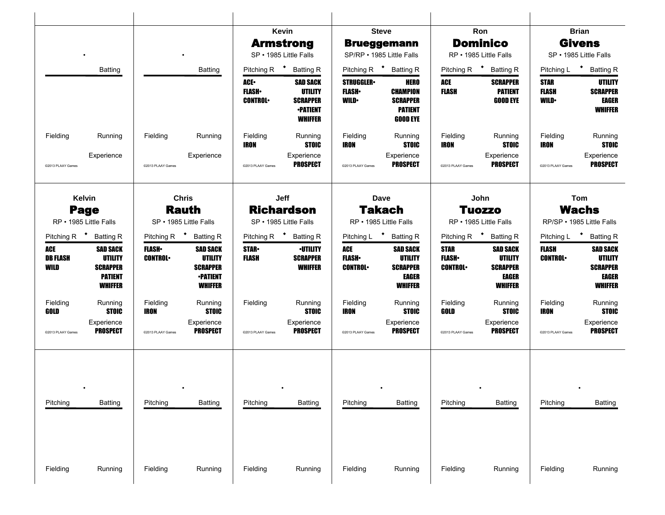|                                                                                                                            |                                                                                                                             | Kevin<br><b>Armstrong</b><br>SP · 1985 Little Falls                                                                                       | <b>Steve</b><br><b>Brueggemann</b><br>SP/RP • 1985 Little Falls                                                                           | Ron<br><b>Dominico</b><br>RP · 1985 Little Falls                                                                                 | <b>Brian</b><br><b>Givens</b><br>SP · 1985 Little Falls                                                                  |
|----------------------------------------------------------------------------------------------------------------------------|-----------------------------------------------------------------------------------------------------------------------------|-------------------------------------------------------------------------------------------------------------------------------------------|-------------------------------------------------------------------------------------------------------------------------------------------|----------------------------------------------------------------------------------------------------------------------------------|--------------------------------------------------------------------------------------------------------------------------|
| Batting                                                                                                                    | <b>Batting</b>                                                                                                              | Pitching R <sup>+</sup><br><b>Batting R</b>                                                                                               | Pitching R <sup>+</sup> Batting R                                                                                                         | Pitching R <sup>+</sup><br><b>Batting R</b>                                                                                      | Pitching L <sup>+</sup><br><b>Batting R</b>                                                                              |
|                                                                                                                            |                                                                                                                             | <b>ACE</b><br><b>SAD SACK</b><br><b>UTILITY</b><br><b>FLASH</b><br><b>CONTROL</b><br><b>SCRAPPER</b><br><b>•PATIENT</b><br><b>WHIFFER</b> | <b>STRUGGLER</b><br><b>HERO</b><br><b>FLASH</b><br><b>CHAMPION</b><br><b>WILD</b><br><b>SCRAPPER</b><br><b>PATIENT</b><br><b>GOOD EYE</b> | ACE<br><b>SCRAPPER</b><br><b>FLASH</b><br><b>PATIENT</b><br><b>GOOD EYE</b>                                                      | <b>STAR</b><br>UTILITY<br><b>FLASH</b><br><b>SCRAPPER</b><br><b>WILD</b><br><b>EAGER</b><br><b>WHIFFER</b>               |
| Fielding<br>Running                                                                                                        | Fielding<br>Running                                                                                                         | Fielding<br>Running<br><b>STOIC</b><br>IRON                                                                                               | Fielding<br>Running<br><b>STOIC</b><br>IRON                                                                                               | Fielding<br>Running<br>IRON<br><b>STOIC</b>                                                                                      | Fielding<br>Running<br><b>STOIC</b><br><b>IRON</b>                                                                       |
| Experience<br>@2013 PLAAY Games                                                                                            | Experience<br>@2013 PLAAY Games                                                                                             | Experience<br><b>PROSPECT</b><br>@2013 PLAAY Games                                                                                        | Experience<br><b>PROSPECT</b><br>@2013 PLAAY Games                                                                                        | Experience<br><b>PROSPECT</b><br>@2013 PLAAY Games                                                                               | Experience<br><b>PROSPECT</b><br>@2013 PLAAY Games                                                                       |
| <b>Kelvin</b>                                                                                                              | <b>Chris</b>                                                                                                                | Jeff                                                                                                                                      | Dave                                                                                                                                      | John                                                                                                                             | Tom                                                                                                                      |
| <b>Page</b><br>RP • 1985 Little Falls                                                                                      | <b>Rauth</b><br>SP · 1985 Little Falls                                                                                      | <b>Richardson</b><br>SP · 1985 Little Falls                                                                                               | <b>Takach</b><br>RP • 1985 Little Falls                                                                                                   | <b>Tuozzo</b><br>RP · 1985 Little Falls                                                                                          | <b>Wachs</b><br>RP/SP · 1985 Little Falls                                                                                |
| Pitching R <sup>+</sup> Batting R                                                                                          | Pitching R <sup>+</sup> Batting R                                                                                           | Pitching R <sup>+</sup> Batting R                                                                                                         | Pitching L * Batting R                                                                                                                    | Pitching R $\bullet$<br><b>Batting R</b>                                                                                         | Pitching L <sup>+</sup><br><b>Batting R</b>                                                                              |
| ACE<br><b>SAD SACK</b><br><b>DB FLASH</b><br><b>UTILITY</b><br>WILD<br><b>SCRAPPER</b><br><b>PATIENT</b><br><b>WHIFFER</b> | <b>FLASH</b><br><b>SAD SACK</b><br><b>CONTROL</b><br><b>UTILITY</b><br><b>SCRAPPER</b><br><b>•PATIENT</b><br><b>WHIFFER</b> | <b>STAR</b><br><b>•UTILITY</b><br><b>FLASH</b><br><b>SCRAPPER</b><br><b>WHIFFER</b>                                                       | ACE<br><b>SAD SACK</b><br><b>FLASH</b><br><b>UTILITY</b><br><b>CONTROL</b><br><b>SCRAPPER</b><br><b>EAGER</b><br><b>WHIFFER</b>           | <b>STAR</b><br><b>SAD SACK</b><br><b>FLASH</b><br><b>UTILITY</b><br><b>SCRAPPER</b><br><b>CONTROL</b><br>EAGER<br><b>WHIFFER</b> | <b>FLASH</b><br><b>SAD SACK</b><br><b>UTILITY</b><br><b>CONTROL</b><br><b>SCRAPPER</b><br><b>EAGER</b><br><b>WHIFFER</b> |
| Fielding<br>Running<br><b>STOIC</b><br>GOLD                                                                                | Fielding<br>Running<br><b>STOIC</b><br>IRON                                                                                 | Fielding<br>Running<br><b>STOIC</b>                                                                                                       | Fielding<br>Running<br><b>STOIC</b><br>IRON                                                                                               | Fielding<br>Running<br><b>STOIC</b><br>GOLD                                                                                      | Running<br>Fielding<br><b>STOIC</b><br><b>IRON</b>                                                                       |
| Experience<br><b>PROSPECT</b><br>@2013 PLAAY Games                                                                         | Experience<br><b>PROSPECT</b><br>@2013 PLAAY Games                                                                          | Experience<br>PROSPECT<br>@2013 PLAAY Games                                                                                               | Experience<br><b>PROSPECT</b><br>@2013 PLAAY Games                                                                                        | Experience<br><b>PROSPECT</b><br>@2013 PLAAY Games                                                                               | Experience<br><b>PROSPECT</b><br>@2013 PLAAY Games                                                                       |
|                                                                                                                            |                                                                                                                             |                                                                                                                                           |                                                                                                                                           |                                                                                                                                  |                                                                                                                          |
| Pitching<br>Batting                                                                                                        | Pitching<br><b>Batting</b>                                                                                                  | Batting<br>Pitching                                                                                                                       | <b>Batting</b><br>Pitching                                                                                                                | Pitching<br><b>Batting</b>                                                                                                       | Pitching<br><b>Batting</b>                                                                                               |
|                                                                                                                            |                                                                                                                             |                                                                                                                                           |                                                                                                                                           |                                                                                                                                  |                                                                                                                          |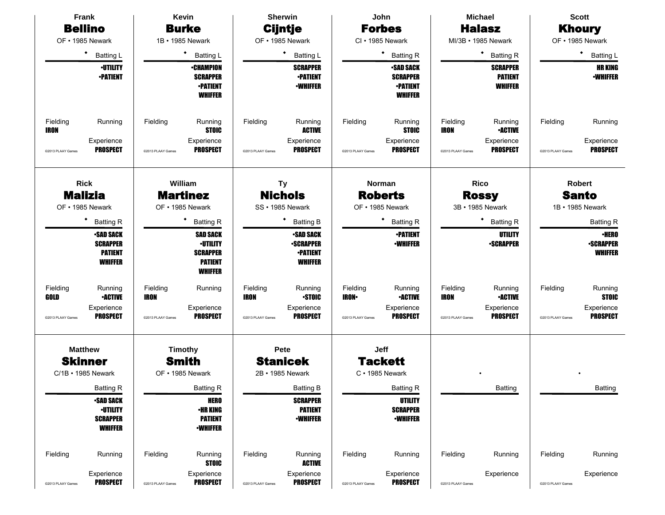|                         | Frank                                                                   |                         | Kevin                                                                                     |                   | <b>Sherwin</b>                                                            |                         | John                                                                    |                         | <b>Michael</b>                                      |                   | <b>Scott</b>                                       |
|-------------------------|-------------------------------------------------------------------------|-------------------------|-------------------------------------------------------------------------------------------|-------------------|---------------------------------------------------------------------------|-------------------------|-------------------------------------------------------------------------|-------------------------|-----------------------------------------------------|-------------------|----------------------------------------------------|
|                         | <b>Bellino</b>                                                          |                         | <b>Burke</b>                                                                              |                   | <b>Cijntje</b>                                                            |                         | <b>Forbes</b>                                                           |                         | <b>Halasz</b>                                       |                   | <b>Khoury</b>                                      |
|                         | OF • 1985 Newark                                                        |                         | 1B • 1985 Newark                                                                          |                   | OF • 1985 Newark                                                          |                         | CI · 1985 Newark                                                        |                         | MI/3B • 1985 Newark                                 |                   | OF • 1985 Newark                                   |
|                         | $\bullet$<br><b>Batting L</b>                                           |                         | ٠<br><b>Batting L</b>                                                                     |                   | <b>Batting L</b>                                                          |                         | ٠<br><b>Batting R</b>                                                   |                         | ٠<br><b>Batting R</b>                               |                   | ٠<br><b>Batting L</b>                              |
|                         | <b>-UTILITY</b><br><b>•PATIENT</b>                                      |                         | <b>•CHAMPION</b><br><b>SCRAPPER</b><br><b>•PATIENT</b><br><b>WHIFFER</b>                  |                   | <b>SCRAPPER</b><br><b>•PATIENT</b><br><b>-WHIFFER</b>                     |                         | <b>SAD SACK</b><br><b>SCRAPPER</b><br><b>-PATIENT</b><br><b>WHIFFER</b> |                         | <b>SCRAPPER</b><br><b>PATIENT</b><br><b>WHIFFER</b> |                   | <b>HR KING</b><br><b>-WHIFFER</b>                  |
| Fielding<br><b>IRON</b> | Running                                                                 | Fielding                | Running<br><b>STOIC</b>                                                                   | Fielding          | Running<br><b>ACTIVE</b>                                                  | Fielding                | Running<br><b>STOIC</b>                                                 | Fielding<br><b>IRON</b> | Running<br><b>•ACTIVE</b>                           | Fielding          | Running                                            |
| @2013 PLAAY Games       | Experience<br><b>PROSPECT</b>                                           | @2013 PLAAY Games       | Experience<br><b>PROSPECT</b>                                                             | @2013 PLAAY Games | Experience<br><b>PROSPECT</b>                                             | @2013 PLAAY Games       | Experience<br><b>PROSPECT</b>                                           | @2013 PLAAY Games       | Experience<br><b>PROSPECT</b>                       | @2013 PLAAY Games | Experience<br><b>PROSPECT</b>                      |
|                         | <b>Rick</b><br><b>Malizia</b>                                           |                         | William<br><b>Martinez</b>                                                                |                   | <b>Ty</b><br><b>Nichols</b>                                               |                         | Norman<br><b>Roberts</b>                                                |                         | <b>Rico</b><br><b>Rossy</b>                         |                   | <b>Robert</b><br><b>Santo</b>                      |
|                         | OF • 1985 Newark                                                        |                         | OF • 1985 Newark                                                                          |                   | SS · 1985 Newark                                                          |                         | OF • 1985 Newark                                                        |                         | 3B • 1985 Newark                                    |                   | 1B • 1985 Newark                                   |
|                         | <b>Batting R</b>                                                        |                         | <b>Batting R</b>                                                                          |                   | <b>Batting B</b>                                                          |                         | ٠<br><b>Batting R</b>                                                   |                         | ٠<br><b>Batting R</b>                               |                   | <b>Batting R</b>                                   |
|                         | <b>-SAD SACK</b><br><b>SCRAPPER</b><br><b>PATIENT</b><br><b>WHIFFER</b> |                         | <b>SAD SACK</b><br><b>·UTILITY</b><br><b>SCRAPPER</b><br><b>PATIENT</b><br><b>WHIFFER</b> |                   | <b>•SAD SACK</b><br><b>•SCRAPPER</b><br><b>-PATIENT</b><br><b>WHIFFER</b> |                         | <b>•PATIENT</b><br><b>-WHIFFER</b>                                      |                         | <b>UTILITY</b><br><b>•SCRAPPER</b>                  |                   | <b>•HERO</b><br><b>-SCRAPPER</b><br><b>WHIFFER</b> |
| Fielding<br>GOLD        | Running<br><b>•ACTIVE</b>                                               | Fielding<br><b>IRON</b> | Running                                                                                   | Fielding<br>IRON  | Running<br><b>STOIC</b>                                                   | Fielding<br><b>IRON</b> | Running<br><b>-ACTIVE</b>                                               | Fielding<br><b>IRON</b> | Running<br><b>•ACTIVE</b>                           | Fielding          | Running<br><b>STOIC</b>                            |
| @2013 PLAAY Games       | Experience<br><b>PROSPECT</b>                                           | @2013 PLAAY Games       | Experience<br><b>PROSPECT</b>                                                             | @2013 PLAAY Games | Experience<br><b>PROSPECT</b>                                             | @2013 PLAAY Games       | Experience<br><b>PROSPECT</b>                                           | @2013 PLAAY Games       | Experience<br><b>PROSPECT</b>                       | @2013 PLAAY Games | Experience<br><b>PROSPECT</b>                      |
|                         | <b>Matthew</b>                                                          |                         | Timothy                                                                                   |                   | Pete                                                                      |                         | Jeff                                                                    |                         |                                                     |                   |                                                    |
|                         | <b>Skinner</b>                                                          |                         | <b>Smith</b>                                                                              |                   | <b>Stanicek</b><br>2B · 1985 Newark                                       |                         | <b>Tackett</b>                                                          |                         |                                                     |                   |                                                    |
|                         | C/1B • 1985 Newark                                                      |                         | OF • 1985 Newark                                                                          |                   |                                                                           |                         | $C \cdot 1985$ Newark                                                   |                         |                                                     |                   |                                                    |
|                         | <b>Batting R</b><br><b>-SAD SACK</b>                                    |                         | <b>Batting R</b><br><b>HERO</b>                                                           |                   | <b>Batting B</b><br><b>SCRAPPER</b>                                       |                         | <b>Batting R</b><br><b>UTILITY</b>                                      |                         | Batting                                             |                   | <b>Batting</b>                                     |
|                         | <b>·UTILITY</b><br><b>SCRAPPER</b><br><b>WHIFFER</b>                    |                         | <b>•HR KING</b><br><b>PATIENT</b><br><b>-WHIFFER</b>                                      |                   | <b>PATIENT</b><br><b>•WHIFFER</b>                                         |                         | <b>SCRAPPER</b><br><b>•WHIFFER</b>                                      |                         |                                                     |                   |                                                    |
| Fielding                | Running                                                                 | Fielding                | Running<br><b>STOIC</b>                                                                   | Fielding          | Running<br><b>ACTIVE</b>                                                  | Fielding                | Running                                                                 | Fielding                | Running                                             | Fielding          | Running                                            |
| @2013 PLAAY Games       | Experience<br><b>PROSPECT</b>                                           | @2013 PLAAY Games       | Experience<br><b>PROSPECT</b>                                                             | @2013 PLAAY Games | Experience<br><b>PROSPECT</b>                                             | @2013 PLAAY Games       | Experience<br><b>PROSPECT</b>                                           | @2013 PLAAY Games       | Experience                                          | @2013 PLAAY Games | Experience                                         |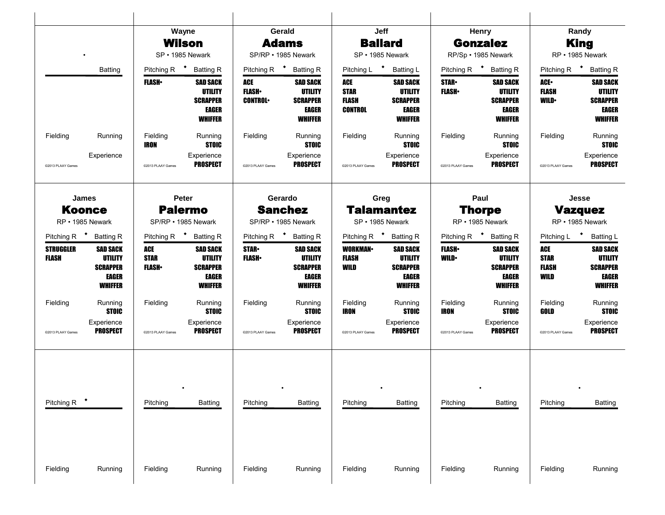|                           |                                                                                 |                                      | Wayne<br>Wilson<br>SP · 1985 Newark                                      |                                | Gerald<br><b>Adams</b><br>SP/RP • 1985 Newark                                   |                                        | Jeff<br><b>Ballard</b><br>SP · 1985 Newark                               |                               | Henry<br><b>Gonzalez</b><br>RP/Sp · 1985 Newark                                 |                                     | Randy<br><b>King</b><br>RP · 1985 Newark                                               |
|---------------------------|---------------------------------------------------------------------------------|--------------------------------------|--------------------------------------------------------------------------|--------------------------------|---------------------------------------------------------------------------------|----------------------------------------|--------------------------------------------------------------------------|-------------------------------|---------------------------------------------------------------------------------|-------------------------------------|----------------------------------------------------------------------------------------|
|                           | <b>Batting</b>                                                                  | <b>FLASH</b> •                       | Pitching R <sup>+</sup> Batting R<br><b>SAD SACK</b>                     | ACE                            | Pitching R <b>*</b> Batting R<br><b>SAD SACK</b>                                | Pitching L <sup>+</sup><br>ACE         | <b>Batting L</b><br><b>SAD SACK</b>                                      | <b>STAR</b>                   | Pitching R <sup>+</sup> Batting R<br><b>SAD SACK</b>                            | Pitching R $\bullet$<br>ACE•        | <b>Batting R</b><br><b>SAD SACK</b>                                                    |
|                           |                                                                                 |                                      | UTILITY<br><b>SCRAPPER</b><br>EAGER<br><b>WHIFFER</b>                    | <b>FLASH</b><br><b>CONTROL</b> | <b>UTILITY</b><br><b>SCRAPPER</b><br>EAGER<br><b>WHIFFER</b>                    | <b>STAR</b><br>FLASH<br><b>CONTROL</b> | UTILITY<br><b>SCRAPPER</b><br>EAGER<br><b>WHIFFER</b>                    | <b>FLASH</b> •                | <b>UTILITY</b><br><b>SCRAPPER</b><br>EAGER<br><b>WHIFFER</b>                    | <b>FLASH</b><br><b>WILD</b>         | <b>UTILITY</b><br><b>SCRAPPER</b><br>EAGER<br><b>WHIFFER</b>                           |
| Fielding                  | Running                                                                         | Fielding<br>IRON                     | Running<br><b>STOIC</b>                                                  | Fielding                       | Running<br><b>STOIC</b>                                                         | Fielding                               | Running<br><b>STOIC</b>                                                  | Fielding                      | Running<br><b>STOIC</b>                                                         | Fielding                            | Running<br><b>STOIC</b>                                                                |
| @2013 PLAAY Games         | Experience                                                                      | @2013 PLAAY Games                    | Experience<br><b>PROSPECT</b>                                            | @2013 PLAAY Games              | Experience<br><b>PROSPECT</b>                                                   | @2013 PLAAY Games                      | Experience<br><b>PROSPECT</b>                                            | @2013 PLAAY Games             | Experience<br><b>PROSPECT</b>                                                   | @2013 PLAAY Games                   | Experience<br><b>PROSPECT</b>                                                          |
|                           | James                                                                           |                                      | Peter                                                                    |                                | Gerardo                                                                         |                                        | Greg                                                                     |                               | Paul                                                                            |                                     | Jesse                                                                                  |
|                           | <b>Koonce</b><br>RP • 1985 Newark                                               |                                      | <b>Palermo</b><br>SP/RP • 1985 Newark                                    |                                | <b>Sanchez</b><br>SP/RP • 1985 Newark                                           |                                        | <b>Talamantez</b><br>SP · 1985 Newark                                    |                               | <b>Thorpe</b><br>RP · 1985 Newark                                               |                                     | <b>Vazquez</b><br>RP • 1985 Newark                                                     |
|                           | Pitching R <sup>+</sup> Batting R                                               |                                      | Pitching R <sup>+</sup> Batting R                                        |                                | Pitching R <sup>+</sup> Batting R                                               |                                        | Pitching R <sup>+</sup> Batting R                                        |                               | Pitching R <sup>+</sup> Batting R                                               | Pitching L <sup>+</sup>             | <b>Batting L</b>                                                                       |
| <b>STRUGGLER</b><br>FLASH | <b>SAD SACK</b><br><b>UTILITY</b><br><b>SCRAPPER</b><br>EAGER<br><b>WHIFFER</b> | ACE<br><b>STAR</b><br><b>FLASH</b> • | <b>SAD SACK</b><br><b>UTILITY</b><br><b>SCRAPPER</b><br>EAGER<br>WHIFFER | <b>STAR</b> .<br><b>FLASH</b>  | <b>SAD SACK</b><br><b>UTILITY</b><br><b>SCRAPPER</b><br>EAGER<br><b>WHIFFER</b> | <b>WORKMAN</b><br>FLASH<br>WILD        | <b>SAD SACK</b><br><b>UTILITY</b><br><b>SCRAPPER</b><br>EAGER<br>WHIFFER | <b>FLASH</b> •<br><b>WILD</b> | <b>SAD SACK</b><br><b>UTILITY</b><br><b>SCRAPPER</b><br>EAGER<br><b>WHIFFER</b> | ACE<br><b>STAR</b><br>FLASH<br>WILD | <b>SAD SACK</b><br><b>UTILITY</b><br><b>SCRAPPER</b><br><b>EAGER</b><br><b>WHIFFER</b> |
| Fielding                  | Running<br>STOIC                                                                | Fielding                             | Running<br><b>STOIC</b>                                                  | Fielding                       | Running<br><b>STOIC</b>                                                         | Fielding<br>IRON                       | Running<br><b>STOIC</b>                                                  | Fielding<br>IRON              | Running<br><b>STOIC</b>                                                         | Fielding<br>GOLD                    | Running<br><b>STOIC</b>                                                                |
| @2013 PLAAY Games         | Experience<br><b>PROSPECT</b>                                                   | @2013 PLAAY Games                    | Experience<br>PROSPECT                                                   | @2013 PLAAY Games              | Experience<br>PROSPECT                                                          | @2013 PLAAY Games                      | Experience<br><b>PROSPECT</b>                                            | @2013 PLAAY Games             | Experience<br><b>PROSPECT</b>                                                   | @2013 PLAAY Games                   | Experience<br><b>PROSPECT</b>                                                          |
|                           |                                                                                 |                                      |                                                                          |                                |                                                                                 |                                        |                                                                          |                               |                                                                                 |                                     |                                                                                        |
| Pitching R                |                                                                                 | Pitching                             | Batting                                                                  | Pitching                       | Batting                                                                         | Pitching                               | Batting                                                                  | Pitching                      | <b>Batting</b>                                                                  | Pitching                            | <b>Batting</b>                                                                         |
|                           |                                                                                 |                                      |                                                                          |                                |                                                                                 |                                        |                                                                          |                               |                                                                                 |                                     |                                                                                        |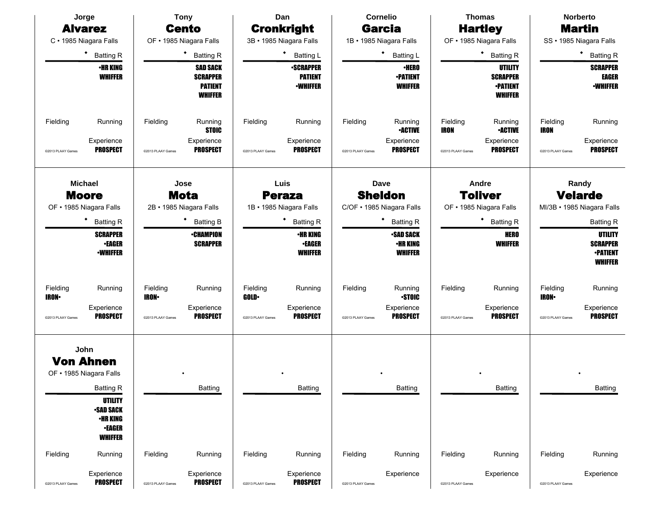|                                              | Jorge                                                                                                                                                              |                                              | <b>Tony</b>                                                                                               |                                              | Dan                                                                                                                             |                               | <b>Cornelio</b>                                                                                                                         |                                              | <b>Thomas</b>                                                                                           |                                               | <b>Norberto</b>                                                                                                                                     |
|----------------------------------------------|--------------------------------------------------------------------------------------------------------------------------------------------------------------------|----------------------------------------------|-----------------------------------------------------------------------------------------------------------|----------------------------------------------|---------------------------------------------------------------------------------------------------------------------------------|-------------------------------|-----------------------------------------------------------------------------------------------------------------------------------------|----------------------------------------------|---------------------------------------------------------------------------------------------------------|-----------------------------------------------|-----------------------------------------------------------------------------------------------------------------------------------------------------|
|                                              | <b>Alvarez</b>                                                                                                                                                     |                                              | <b>Cento</b>                                                                                              |                                              | <b>Cronkright</b>                                                                                                               |                               | <b>Garcia</b>                                                                                                                           |                                              | <b>Hartley</b>                                                                                          |                                               | <b>Martin</b>                                                                                                                                       |
|                                              | C · 1985 Niagara Falls                                                                                                                                             |                                              | OF • 1985 Niagara Falls                                                                                   |                                              | 3B · 1985 Niagara Falls                                                                                                         |                               | 1B · 1985 Niagara Falls                                                                                                                 |                                              | OF • 1985 Niagara Falls                                                                                 |                                               | SS · 1985 Niagara Falls                                                                                                                             |
|                                              | ٠<br><b>Batting R</b>                                                                                                                                              |                                              | <b>Batting R</b>                                                                                          |                                              | <b>Batting L</b>                                                                                                                |                               | ٠<br><b>Batting L</b>                                                                                                                   |                                              | ٠<br><b>Batting R</b>                                                                                   |                                               | ٠<br><b>Batting R</b>                                                                                                                               |
|                                              | <b>•HR KING</b><br><b>WHIFFER</b>                                                                                                                                  |                                              | <b>SAD SACK</b><br><b>SCRAPPER</b><br><b>PATIENT</b><br><b>WHIFFER</b>                                    |                                              | <b>•SCRAPPER</b><br><b>PATIENT</b><br><b>-WHIFFER</b>                                                                           |                               | <b>·HERO</b><br><b>•PATIENT</b><br><b>WHIFFER</b>                                                                                       |                                              | <b>UTILITY</b><br><b>SCRAPPER</b><br><b>-PATIENT</b><br><b>WHIFFER</b>                                  |                                               | <b>SCRAPPER</b><br>EAGER<br><b>-WHIFFER</b>                                                                                                         |
| Fielding<br>@2013 PLAAY Games                | Running<br>Experience<br><b>PROSPECT</b>                                                                                                                           | Fielding<br>@2013 PLAAY Games                | Running<br><b>STOIC</b><br>Experience<br><b>PROSPECT</b>                                                  | Fielding<br>@2013 PLAAY Games                | Running<br>Experience<br><b>PROSPECT</b>                                                                                        | Fielding<br>@2013 PLAAY Games | Running<br><b>-ACTIVE</b><br>Experience<br><b>PROSPECT</b>                                                                              | Fielding<br><b>IRON</b><br>@2013 PLAAY Games | Running<br><b>•ACTIVE</b><br>Experience<br><b>PROSPECT</b>                                              | Fielding<br><b>IRON</b><br>@2013 PLAAY Games  | Running<br>Experience<br><b>PROSPECT</b>                                                                                                            |
|                                              | <b>Michael</b><br><b>Moore</b><br>OF . 1985 Niagara Falls<br>٠<br><b>Batting R</b><br><b>SCRAPPER</b><br><b>•EAGER</b><br><b>-WHIFFER</b>                          |                                              | Jose<br><b>Mota</b><br>2B · 1985 Niagara Falls<br><b>Batting B</b><br><b>•CHAMPION</b><br><b>SCRAPPER</b> |                                              | Luis<br><b>Peraza</b><br>1B · 1985 Niagara Falls<br>٠<br><b>Batting R</b><br><b>•HR KING</b><br><b>-EAGER</b><br><b>WHIFFER</b> |                               | <b>Dave</b><br><b>Sheldon</b><br>C/OF . 1985 Niagara Falls<br><b>Batting R</b><br><b>-SAD SACK</b><br><b>•HR KING</b><br><b>WHIFFER</b> |                                              | Andre<br><b>Toliver</b><br>OF • 1985 Niagara Falls<br><b>Batting R</b><br><b>HERO</b><br><b>WHIFFER</b> |                                               | Randy<br><b>Velarde</b><br>MI/3B · 1985 Niagara Falls<br><b>Batting R</b><br><b>UTILITY</b><br><b>SCRAPPER</b><br><b>-PATIENT</b><br><b>WHIFFER</b> |
| Fielding<br><b>IRON</b><br>@2013 PLAAY Games | Running<br>Experience<br><b>PROSPECT</b>                                                                                                                           | Fielding<br><b>IRON</b><br>@2013 PLAAY Games | Running<br>Experience<br><b>PROSPECT</b>                                                                  | Fielding<br><b>GOLD</b><br>@2013 PLAAY Games | Running<br>Experience<br><b>PROSPECT</b>                                                                                        | Fielding<br>@2013 PLAAY Games | Running<br><b>STOIC</b><br>Experience<br><b>PROSPECT</b>                                                                                | Fielding<br>@2013 PLAAY Games                | Running<br>Experience<br><b>PROSPECT</b>                                                                | Fielding<br><b>IRON-</b><br>@2013 PLAAY Games | Running<br>Experience<br><b>PROSPECT</b>                                                                                                            |
|                                              | John<br><b>Von Ahnen</b><br>OF • 1985 Niagara Falls<br><b>Batting R</b><br><b>UTILITY</b><br><b>SAD SACK</b><br><b>•HR KING</b><br><b>•EAGER</b><br><b>WHIFFER</b> |                                              | <b>Batting</b>                                                                                            |                                              | <b>Batting</b>                                                                                                                  |                               | <b>Batting</b>                                                                                                                          |                                              | Batting                                                                                                 |                                               | <b>Batting</b>                                                                                                                                      |
| Fielding                                     | Running                                                                                                                                                            | Fielding                                     | Running                                                                                                   | Fielding                                     | Running                                                                                                                         | Fielding                      | Running                                                                                                                                 | Fielding                                     | Running                                                                                                 | Fielding                                      | Running                                                                                                                                             |
| @2013 PLAAY Games                            | Experience<br><b>PROSPECT</b>                                                                                                                                      | @2013 PLAAY Games                            | Experience<br><b>PROSPECT</b>                                                                             | @2013 PLAAY Games                            | Experience<br><b>PROSPECT</b>                                                                                                   | @2013 PLAAY Games             | Experience                                                                                                                              | @2013 PLAAY Games                            | Experience                                                                                              | @2013 PLAAY Games                             | Experience                                                                                                                                          |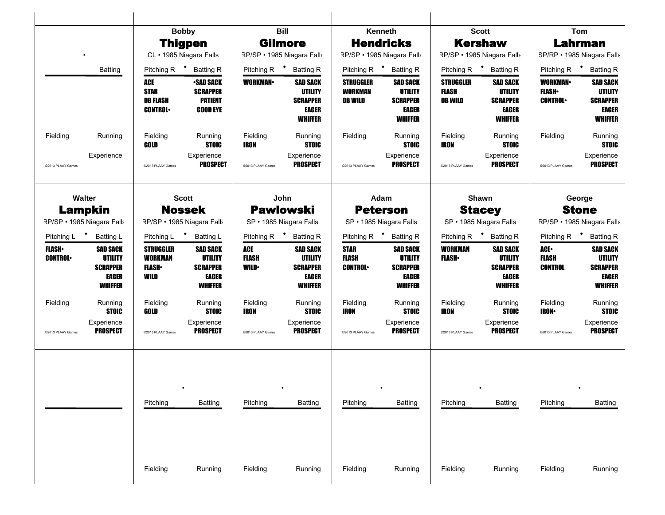|                                |                                                                                 |                                                              | <b>Bobby</b>                                                                           |                                    | <b>Bill</b>                                                              |                                               | Kenneth                                                                                |                                             | <b>Scott</b>                                                                    |                                                     | Tom                                                                             |
|--------------------------------|---------------------------------------------------------------------------------|--------------------------------------------------------------|----------------------------------------------------------------------------------------|------------------------------------|--------------------------------------------------------------------------|-----------------------------------------------|----------------------------------------------------------------------------------------|---------------------------------------------|---------------------------------------------------------------------------------|-----------------------------------------------------|---------------------------------------------------------------------------------|
|                                |                                                                                 |                                                              | <b>Thigpen</b>                                                                         |                                    | <b>Gilmore</b>                                                           |                                               | <b>Hendricks</b>                                                                       |                                             | <b>Kershaw</b>                                                                  |                                                     | Lahrman                                                                         |
|                                |                                                                                 |                                                              | CL · 1985 Niagara Falls                                                                |                                    | RP/SP · 1985 Niagara Falls                                               |                                               | RP/SP · 1985 Niagara Falls                                                             |                                             | RP/SP · 1985 Niagara Falls                                                      | SP/RP · 1985 Niagara Falls                          |                                                                                 |
|                                | <b>Batting</b>                                                                  | Pitching R $\bullet$                                         | <b>Batting R</b>                                                                       | Pitching R <sup>+</sup>            | <b>Batting R</b>                                                         | Pitching R $\bullet$                          | <b>Batting R</b>                                                                       |                                             | Pitching R <b>*</b> Batting R                                                   | Pitching R $\bullet$                                | <b>Batting R</b>                                                                |
|                                |                                                                                 | ACE<br><b>STAR</b><br><b>DB FLASH</b><br><b>CONTROL</b>      | <b>•SAD SACK</b><br><b>SCRAPPER</b><br><b>PATIENT</b><br><b>GOOD EYE</b>               | <b>WORKMAN</b>                     | <b>SAD SACK</b><br>UTILITY<br><b>SCRAPPER</b><br>EAGER<br>WHIFFER        | <b>STRUGGLER</b><br><b>WORKMAN</b><br>DB WILD | <b>SAD SACK</b><br><b>UTILITY</b><br><b>SCRAPPER</b><br><b>EAGER</b><br><b>WHIFFER</b> | <b>STRUGGLER</b><br>FLASH<br><b>DB WILD</b> | <b>SAD SACK</b><br><b>UTILITY</b><br><b>SCRAPPER</b><br><b>EAGER</b><br>WHIFFER | <b>WORKMAN-</b><br><b>FLASH</b> •<br><b>CONTROL</b> | <b>SAD SACK</b><br><b>UTILITY</b><br><b>SCRAPPER</b><br>EAGER<br><b>WHIFFER</b> |
| Fielding                       | Running                                                                         | Fielding<br>GOLD                                             | Running<br><b>STOIC</b>                                                                | Fielding<br><b>IRON</b>            | Running<br><b>STOIC</b>                                                  | Fielding                                      | Running<br><b>STOIC</b>                                                                | Fielding<br><b>IRON</b>                     | Running<br><b>STOIC</b>                                                         | Fielding                                            | Running<br><b>STOIC</b>                                                         |
| @2013 PLAAY Games              | Experience                                                                      | @2013 PLAAY Games                                            | Experience<br><b>PROSPECT</b>                                                          | @2013 PLAAY Games                  | Experience<br><b>PROSPECT</b>                                            | @2013 PLAAY Games                             | Experience<br><b>PROSPECT</b>                                                          | @2013 PLAAY Games                           | Experience<br><b>PROSPECT</b>                                                   | @2013 PLAAY Games                                   | Experience<br><b>PROSPECT</b>                                                   |
|                                | Walter                                                                          |                                                              | <b>Scott</b>                                                                           |                                    | John                                                                     |                                               | Adam                                                                                   |                                             | Shawn                                                                           |                                                     | George                                                                          |
|                                | <b>Lampkin</b>                                                                  |                                                              | <b>Nossek</b>                                                                          |                                    | <b>Pawlowski</b>                                                         |                                               | <b>Peterson</b>                                                                        |                                             | <b>Stacey</b>                                                                   |                                                     | <b>Stone</b>                                                                    |
|                                | RP/SP · 1985 Niagara Falls                                                      | RP/SP · 1985 Niagara Falls                                   |                                                                                        | SP · 1985 Niagara Falls            |                                                                          |                                               | SP · 1985 Niagara Falls                                                                |                                             | SP · 1985 Niagara Falls                                                         |                                                     | RP/SP · 1985 Niagara Falls                                                      |
|                                | Pitching L <sup>+</sup> Batting L                                               | Pitching L <sup>+</sup> Batting L                            |                                                                                        | Pitching R $\bullet$               | <b>Batting R</b>                                                         | Pitching R <sup>+</sup>                       | <b>Batting R</b>                                                                       |                                             | Pitching R <sup>+</sup> Batting R                                               |                                                     | Pitching R <b>*</b> Batting R                                                   |
| <b>FLASH</b><br><b>CONTROL</b> | <b>SAD SACK</b><br><b>UTILITY</b><br><b>SCRAPPER</b><br><b>EAGER</b><br>WHIFFER | <b>STRUGGLER</b><br><b>WORKMAN</b><br><b>FLASH</b> •<br>WILD | <b>SAD SACK</b><br><b>UTILITY</b><br><b>SCRAPPER</b><br><b>EAGER</b><br><b>WHIFFER</b> | ACE<br><b>FLASH</b><br><b>WILD</b> | <b>SAD SACK</b><br><b>UTILITY</b><br><b>SCRAPPER</b><br>EAGER<br>WHIFFER | <b>STAR</b><br><b>FLASH</b><br><b>CONTROL</b> | <b>SAD SACK</b><br><b>UTILITY</b><br><b>SCRAPPER</b><br><b>EAGER</b><br><b>WHIFFER</b> | <b>WORKMAN</b><br><b>FLASH</b>              | <b>SAD SACK</b><br>UTILITY<br><b>SCRAPPER</b><br><b>EAGER</b><br><b>WHIFFER</b> | ACE.<br>FLASH<br><b>CONTROL</b>                     | <b>SAD SACK</b><br><b>UTILITY</b><br><b>SCRAPPER</b><br>EAGER<br><b>WHIFFER</b> |
| Fielding                       | Running<br><b>STOIC</b>                                                         | Fielding<br>GOLD                                             | Running<br><b>STOIC</b>                                                                | Fielding<br><b>IRON</b>            | Running<br><b>STOIC</b>                                                  | Fielding<br><b>IRON</b>                       | Running<br><b>STOIC</b>                                                                | Fielding<br><b>IRON</b>                     | Running<br><b>STOIC</b>                                                         | Fielding<br><b>IRON</b>                             | Running<br><b>STOIC</b>                                                         |
| @2013 PLAAY Games              | Experience<br><b>PROSPECT</b>                                                   | @2013 PLAAY Games                                            | Experience<br>PROSPECT                                                                 | @2013 PLAAY Games                  | Experience<br><b>PROSPECT</b>                                            | @2013 PLAAY Games                             | Experience<br><b>PROSPECT</b>                                                          | @2013 PLAAY Games                           | Experience<br><b>PROSPECT</b>                                                   | @2013 PLAAY Games                                   | Experience<br><b>PROSPECT</b>                                                   |
|                                |                                                                                 | Pitching                                                     | <b>Batting</b>                                                                         | Pitching                           | <b>Batting</b>                                                           | Pitching                                      | <b>Batting</b>                                                                         | Pitching                                    | <b>Batting</b>                                                                  | Pitching                                            | <b>Batting</b>                                                                  |
|                                |                                                                                 | Fielding                                                     | Running                                                                                |                                    | Running                                                                  |                                               |                                                                                        | Fielding                                    | Running                                                                         | Fielding                                            | Running                                                                         |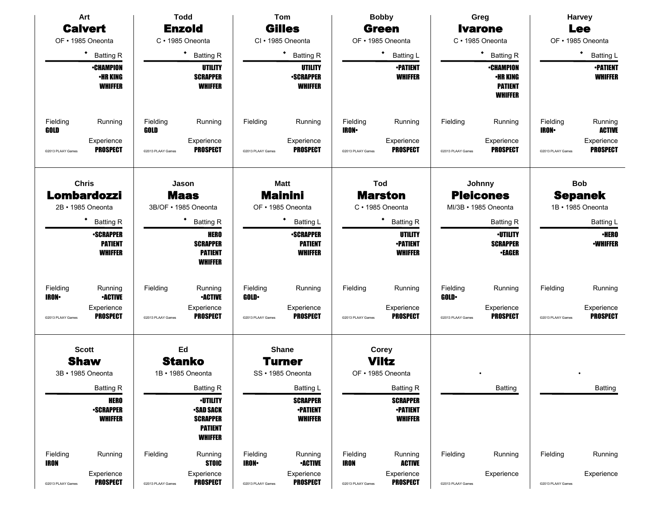|                          | Art                                                  |                   | <b>Todd</b>                                                                               |                          | <b>Tom</b>                                           |                         | <b>Bobby</b>                                         |                         | Greg                                                             |                          | Harvey                            |
|--------------------------|------------------------------------------------------|-------------------|-------------------------------------------------------------------------------------------|--------------------------|------------------------------------------------------|-------------------------|------------------------------------------------------|-------------------------|------------------------------------------------------------------|--------------------------|-----------------------------------|
|                          | <b>Calvert</b>                                       |                   | <b>Enzold</b>                                                                             |                          | <b>Gilles</b>                                        |                         | <b>Green</b>                                         |                         | <b>Ivarone</b>                                                   |                          | <b>Lee</b>                        |
|                          | OF • 1985 Oneonta                                    |                   | C · 1985 Oneonta                                                                          |                          | CI · 1985 Oneonta                                    |                         | OF • 1985 Oneonta                                    |                         | C · 1985 Oneonta                                                 |                          | OF • 1985 Oneonta                 |
|                          | ٠<br><b>Batting R</b>                                |                   | $\bullet$<br><b>Batting R</b>                                                             |                          | $\bullet$<br><b>Batting R</b>                        |                         | $\bullet$<br>Batting L                               |                         | ٠<br><b>Batting R</b>                                            |                          | ٠<br><b>Batting L</b>             |
|                          | <b>•CHAMPION</b><br>•HR KING<br><b>WHIFFER</b>       |                   | <b>UTILITY</b><br><b>SCRAPPER</b><br><b>WHIFFER</b>                                       |                          | <b>UTILITY</b><br><b>-SCRAPPER</b><br><b>WHIFFER</b> |                         | <b>-PATIENT</b><br><b>WHIFFER</b>                    |                         | <b>•CHAMPION</b><br>•HR KING<br><b>PATIENT</b><br><b>WHIFFER</b> |                          | <b>-PATIENT</b><br><b>WHIFFER</b> |
| Fielding<br>GOLD         | Running                                              | Fielding<br>GOLD  | Running                                                                                   | Fielding                 | Running                                              | Fielding<br><b>IRON</b> | Running                                              | Fielding                | Running                                                          | Fielding<br><b>IRON•</b> | Running<br><b>ACTIVE</b>          |
| @2013 PLAAY Games        | Experience<br><b>PROSPECT</b>                        | @2013 PLAAY Games | Experience<br><b>PROSPECT</b>                                                             | @2013 PLAAY Games        | Experience<br><b>PROSPECT</b>                        | @2013 PLAAY Games       | Experience<br><b>PROSPECT</b>                        | @2013 PLAAY Games       | Experience<br><b>PROSPECT</b>                                    | @2013 PLAAY Games        | Experience<br><b>PROSPECT</b>     |
|                          | <b>Chris</b><br><b>Lombardozzi</b>                   |                   | Jason<br><b>Maas</b>                                                                      |                          | <b>Matt</b><br><b>Mainini</b>                        | <b>Tod</b>              | <b>Marston</b>                                       |                         | Johnny<br><b>Pleicones</b>                                       |                          | <b>Bob</b><br><b>Sepanek</b>      |
|                          | 2B • 1985 Oneonta                                    |                   | 3B/OF · 1985 Oneonta                                                                      |                          | OF • 1985 Oneonta                                    |                         | C · 1985 Oneonta                                     |                         | MI/3B · 1985 Oneonta                                             |                          | 1B · 1985 Oneonta                 |
|                          | <b>Batting R</b>                                     |                   | ٠<br><b>Batting R</b>                                                                     |                          | <b>Batting L</b>                                     |                         | ٠<br><b>Batting R</b>                                |                         | <b>Batting R</b>                                                 |                          | <b>Batting L</b>                  |
|                          | <b>•SCRAPPER</b><br><b>PATIENT</b><br><b>WHIFFER</b> |                   | <b>HERO</b><br><b>SCRAPPER</b><br><b>PATIENT</b><br><b>WHIFFER</b>                        |                          | <b>-SCRAPPER</b><br><b>PATIENT</b><br><b>WHIFFER</b> |                         | <b>UTILITY</b><br><b>-PATIENT</b><br><b>WHIFFER</b>  |                         | <b>-UTILITY</b><br><b>SCRAPPER</b><br><b>•EAGER</b>              |                          | <b>·HERO</b><br><b>•WHIFFER</b>   |
| Fielding<br><b>IRON-</b> | Running<br><b>•ACTIVE</b>                            | Fielding          | Running<br><b>•ACTIVE</b>                                                                 | Fielding<br><b>GOLD</b>  | Running                                              | Fielding                | Running                                              | Fielding<br><b>GOLD</b> | Running                                                          | Fielding                 | Running                           |
| @2013 PLAAY Games        | Experience<br><b>PROSPECT</b>                        | @2013 PLAAY Games | Experience<br><b>PROSPECT</b>                                                             | @2013 PLAAY Games        | Experience<br><b>PROSPECT</b>                        | @2013 PLAAY Games       | Experience<br><b>PROSPECT</b>                        | @2013 PLAAY Games       | Experience<br><b>PROSPECT</b>                                    | @2013 PLAAY Games        | Experience<br><b>PROSPECT</b>     |
|                          | <b>Scott</b>                                         |                   | Ed                                                                                        |                          | <b>Shane</b>                                         |                         | <b>Corey</b>                                         |                         |                                                                  |                          |                                   |
|                          | <b>Shaw</b>                                          |                   | <b>Stanko</b>                                                                             |                          | Turner                                               |                         | <b>Viltz</b>                                         |                         |                                                                  |                          |                                   |
|                          | 3B • 1985 Oneonta                                    |                   | 1B • 1985 Oneonta                                                                         |                          | SS · 1985 Oneonta                                    |                         | OF • 1985 Oneonta                                    |                         |                                                                  |                          |                                   |
|                          | <b>Batting R</b>                                     |                   | <b>Batting R</b>                                                                          |                          | Batting L                                            |                         | <b>Batting R</b>                                     |                         | Batting                                                          |                          | <b>Batting</b>                    |
|                          | <b>HERO</b><br><b>•SCRAPPER</b><br><b>WHIFFER</b>    |                   | <b>-UTILITY</b><br><b>SAD SACK</b><br><b>SCRAPPER</b><br><b>PATIENT</b><br><b>WHIFFER</b> |                          | <b>SCRAPPER</b><br><b>•PATIENT</b><br><b>WHIFFER</b> |                         | <b>SCRAPPER</b><br><b>•PATIENT</b><br><b>WHIFFER</b> |                         |                                                                  |                          |                                   |
| Fielding<br><b>IRON</b>  | Running                                              | Fielding          | Running<br><b>STOIC</b>                                                                   | Fielding<br><b>IRON-</b> | Running<br><b>•ACTIVE</b>                            | Fielding<br>IRON        | Running<br><b>ACTIVE</b>                             | Fielding                | Running                                                          | Fielding                 | Running                           |
| @2013 PLAAY Games        | Experience<br><b>PROSPECT</b>                        | @2013 PLAAY Games | Experience<br><b>PROSPECT</b>                                                             | @2013 PLAAY Games        | Experience<br><b>PROSPECT</b>                        | @2013 PLAAY Games       | Experience<br><b>PROSPECT</b>                        | @2013 PLAAY Games       | Experience                                                       | @2013 PLAAY Games        | Experience                        |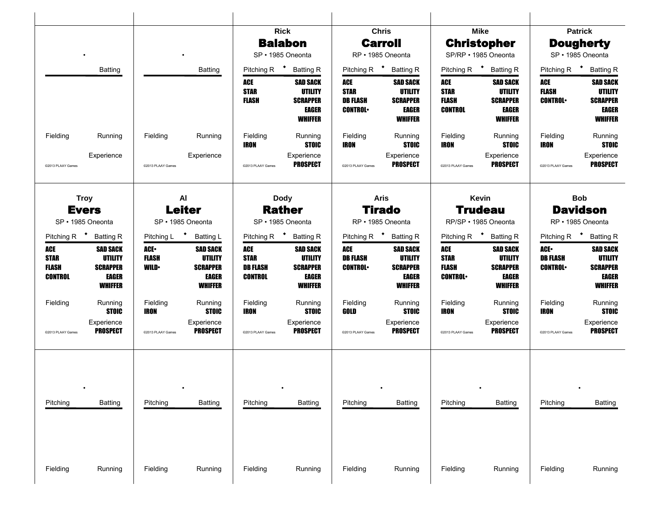|                                                                                    |                                                                                        |                                                                |                                                                                                     |                                                               | <b>Rick</b><br><b>Balabon</b><br>SP · 1985 Oneonta                                                                   |                                                         | <b>Chris</b><br><b>Carroll</b><br>RP · 1985 Oneonta                                                                         |                                                                                 | <b>Mike</b><br><b>Christopher</b><br>SP/RP · 1985 Oneonta                                                                   |                                                                   | <b>Patrick</b><br><b>Dougherty</b><br>SP · 1985 Oneonta                                                    |
|------------------------------------------------------------------------------------|----------------------------------------------------------------------------------------|----------------------------------------------------------------|-----------------------------------------------------------------------------------------------------|---------------------------------------------------------------|----------------------------------------------------------------------------------------------------------------------|---------------------------------------------------------|-----------------------------------------------------------------------------------------------------------------------------|---------------------------------------------------------------------------------|-----------------------------------------------------------------------------------------------------------------------------|-------------------------------------------------------------------|------------------------------------------------------------------------------------------------------------|
|                                                                                    | Batting                                                                                |                                                                | <b>Batting</b>                                                                                      | Pitching R <sup>+</sup><br>ACE<br><b>STAR</b><br><b>FLASH</b> | <b>Batting R</b><br><b>SAD SACK</b><br><b>UTILITY</b><br><b>SCRAPPER</b><br><b>EAGER</b><br><b>WHIFFER</b>           | ACE<br><b>STAR</b><br><b>DB FLASH</b><br><b>CONTROL</b> | Pitching R <sup>+</sup> Batting R<br><b>SAD SACK</b><br><b>UTILITY</b><br><b>SCRAPPER</b><br><b>EAGER</b><br><b>WHIFFER</b> | Pitching R <sup>+</sup><br>ACE<br><b>STAR</b><br><b>FLASH</b><br><b>CONTROL</b> | <b>Batting R</b><br><b>SAD SACK</b><br><b>UTILITY</b><br><b>SCRAPPER</b><br><b>EAGER</b><br><b>WHIFFER</b>                  | Pitching R <sup>+</sup><br>ACE<br><b>FLASH</b><br><b>CONTROL</b>  | <b>Batting R</b><br><b>SAD SACK</b><br><b>UTILITY</b><br><b>SCRAPPER</b><br><b>EAGER</b><br><b>WHIFFER</b> |
| Fielding<br>@2013 PLAAY Games                                                      | Running<br>Experience                                                                  | Fielding<br>@2013 PLAAY Games                                  | Running<br>Experience                                                                               | Fielding<br>IRON<br>@2013 PLAAY Games                         | Running<br><b>STOIC</b><br>Experience<br><b>PROSPECT</b>                                                             | Fielding<br>IRON<br>@2013 PLAAY Games                   | Running<br><b>STOIC</b><br>Experience<br><b>PROSPECT</b>                                                                    | Fielding<br>IRON<br>@2013 PLAAY Games                                           | Running<br><b>STOIC</b><br>Experience<br><b>PROSPECT</b>                                                                    | Fielding<br><b>IRON</b><br>@2013 PLAAY Games                      | Running<br><b>STOIC</b><br>Experience<br><b>PROSPECT</b>                                                   |
| <b>Troy</b><br><b>Evers</b><br>SP · 1985 Oneonta                                   |                                                                                        |                                                                | AI<br><b>Leiter</b><br>SP · 1985 Oneonta                                                            |                                                               | <b>Dody</b><br><b>Rather</b><br>SP · 1985 Oneonta                                                                    |                                                         | <b>Aris</b><br><b>Tirado</b><br>RP · 1985 Oneonta                                                                           |                                                                                 | Kevin<br><b>Trudeau</b><br>RP/SP · 1985 Oneonta                                                                             |                                                                   | <b>Bob</b><br><b>Davidson</b><br>RP · 1985 Oneonta                                                         |
| Pitching R <sup>+</sup> Batting R<br>ACE<br><b>STAR</b><br><b>FLASH</b><br>CONTROL | <b>SAD SACK</b><br><b>UTILITY</b><br><b>SCRAPPER</b><br><b>EAGER</b><br><b>WHIFFER</b> | Pitching L <sup>+</sup><br>ACE-<br><b>FLASH</b><br><b>WILD</b> | <b>Batting L</b><br><b>SAD SACK</b><br><b>UTILITY</b><br><b>SCRAPPER</b><br><b>EAGER</b><br>WHIFFER | ACE<br><b>STAR</b><br><b>DB FLASH</b><br><b>CONTROL</b>       | Pitching R <sup>+</sup> Batting R<br><b>SAD SACK</b><br><b>UTILITY</b><br><b>SCRAPPER</b><br>EAGER<br><b>WHIFFER</b> | ACE<br><b>DB FLASH</b><br><b>CONTROL</b>                | Pitching R <sup>+</sup> Batting R<br><b>SAD SACK</b><br><b>UTILITY</b><br><b>SCRAPPER</b><br><b>EAGER</b><br><b>WHIFFER</b> | ACE<br><b>STAR</b><br><b>FLASH</b><br><b>CONTROL</b>                            | Pitching R <sup>+</sup> Batting R<br><b>SAD SACK</b><br><b>UTILITY</b><br><b>SCRAPPER</b><br><b>EAGER</b><br><b>WHIFFER</b> | Pitching R $\bullet$<br>ACE.<br><b>DB FLASH</b><br><b>CONTROL</b> | <b>Batting R</b><br><b>SAD SACK</b><br><b>UTILITY</b><br><b>SCRAPPER</b><br><b>EAGER</b><br><b>WHIFFER</b> |
| Fielding<br>@2013 PLAAY Games                                                      | Running<br><b>STOIC</b><br>Experience<br><b>PROSPECT</b>                               | Fielding<br>IRON<br>@2013 PLAAY Games                          | Running<br><b>STOIC</b><br>Experience<br><b>PROSPECT</b>                                            | Fielding<br>IRON<br>@2013 PLAAY Games                         | Running<br><b>STOIC</b><br>Experience<br>PROSPECT                                                                    | Fielding<br>GOLD<br>@2013 PLAAY Games                   | Running<br><b>STOIC</b><br>Experience<br><b>PROSPECT</b>                                                                    | Fielding<br>IRON<br>@2013 PLAAY Games                                           | Running<br><b>STOIC</b><br>Experience<br><b>PROSPECT</b>                                                                    | Fielding<br><b>IRON</b><br>@2013 PLAAY Games                      | Running<br><b>STOIC</b><br>Experience<br><b>PROSPECT</b>                                                   |
| Pitching                                                                           | Batting                                                                                | Pitching                                                       | <b>Batting</b>                                                                                      | Pitching                                                      | Batting                                                                                                              | Pitching                                                | <b>Batting</b>                                                                                                              | Pitching                                                                        | <b>Batting</b>                                                                                                              | Pitching                                                          | <b>Batting</b>                                                                                             |
| Fielding                                                                           | Running                                                                                | Fielding                                                       | Running                                                                                             | Fielding                                                      | Running                                                                                                              | Fielding                                                | Running                                                                                                                     | Fielding                                                                        | Running                                                                                                                     | Fielding                                                          | Running                                                                                                    |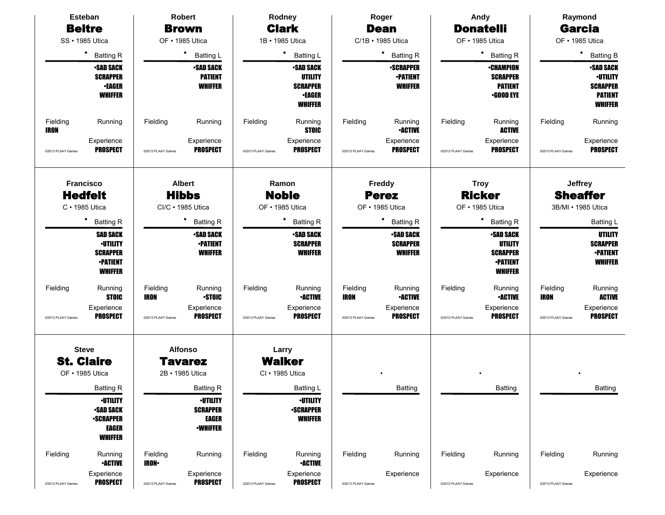|                         | <b>Esteban</b>                                                                             |                          | <b>Robert</b>                                                         |                   | Rodney                                                                                   |                         | Roger                                                 |                   | Andy                                                                                      |                         | Raymond                                                                                   |
|-------------------------|--------------------------------------------------------------------------------------------|--------------------------|-----------------------------------------------------------------------|-------------------|------------------------------------------------------------------------------------------|-------------------------|-------------------------------------------------------|-------------------|-------------------------------------------------------------------------------------------|-------------------------|-------------------------------------------------------------------------------------------|
|                         | <b>Beltre</b>                                                                              |                          | <b>Brown</b>                                                          |                   | <b>Clark</b>                                                                             |                         | <b>Dean</b>                                           |                   | <b>Donatelli</b>                                                                          |                         | <b>Garcia</b>                                                                             |
|                         | SS · 1985 Utica                                                                            |                          | OF • 1985 Utica                                                       |                   | 1B · 1985 Utica                                                                          |                         | C/1B · 1985 Utica                                     |                   | OF • 1985 Utica                                                                           |                         | OF • 1985 Utica                                                                           |
|                         | $\bullet$<br><b>Batting R</b>                                                              |                          | ٠<br><b>Batting L</b>                                                 |                   | ٠<br><b>Batting L</b>                                                                    |                         | ٠<br><b>Batting R</b>                                 |                   | ٠<br><b>Batting R</b>                                                                     |                         | $\bullet$<br><b>Batting B</b>                                                             |
|                         | <b>-SAD SACK</b><br><b>SCRAPPER</b><br><b>•EAGER</b><br><b>WHIFFER</b>                     |                          | <b>-SAD SACK</b><br><b>PATIENT</b><br><b>WHIFFER</b>                  |                   | <b>•SAD SACK</b><br><b>UTILITY</b><br><b>SCRAPPER</b><br><b>•EAGER</b><br><b>WHIFFER</b> |                         | <b>-SCRAPPER</b><br><b>-PATIENT</b><br><b>WHIFFER</b> |                   | <b>•CHAMPION</b><br><b>SCRAPPER</b><br><b>PATIENT</b><br>$\cdot$ GOOD EYE                 |                         | <b>SAD SACK</b><br><b>-UTILITY</b><br><b>SCRAPPER</b><br><b>PATIENT</b><br><b>WHIFFER</b> |
| Fielding<br><b>IRON</b> | Running                                                                                    | Fielding                 | Running                                                               | Fielding          | Running<br><b>STOIC</b>                                                                  | Fielding                | Running<br><b>-ACTIVE</b>                             | Fielding          | Running<br><b>ACTIVE</b>                                                                  | Fielding                | Running                                                                                   |
| @2013 PLAAY Games       | Experience<br><b>PROSPECT</b>                                                              | @2013 PLAAY Games        | Experience<br><b>PROSPECT</b>                                         | @2013 PLAAY Games | Experience<br><b>PROSPECT</b>                                                            | @2013 PLAAY Games       | Experience<br><b>PROSPECT</b>                         | @2013 PLAAY Games | Experience<br><b>PROSPECT</b>                                                             | @2013 PLAAY Games       | Experience<br><b>PROSPECT</b>                                                             |
| <b>Francisco</b>        | <b>Hedfelt</b><br>C · 1985 Utica                                                           |                          | <b>Albert</b><br><b>Hibbs</b><br>CI/C · 1985 Utica                    |                   | Ramon<br><b>Noble</b><br>OF • 1985 Utica                                                 |                         | Freddy<br><b>Perez</b><br>OF • 1985 Utica             |                   | <b>Troy</b><br><b>Ricker</b><br>OF • 1985 Utica                                           |                         | <b>Jeffrey</b><br><b>Sheaffer</b><br>3B/MI • 1985 Utica                                   |
|                         | ٠<br><b>Batting R</b>                                                                      |                          | ٠<br><b>Batting R</b>                                                 |                   | <b>Batting R</b>                                                                         |                         | ٠<br><b>Batting R</b>                                 |                   | ٠<br><b>Batting R</b>                                                                     |                         | <b>Batting L</b>                                                                          |
|                         | <b>SAD SACK</b><br><b>-UTILITY</b><br><b>SCRAPPER</b><br><b>-PATIENT</b><br><b>WHIFFER</b> |                          | <b>-SAD SACK</b><br><b>-PATIENT</b><br><b>WHIFFER</b>                 |                   | <b>-SAD SACK</b><br><b>SCRAPPER</b><br><b>WHIFFER</b>                                    |                         | <b>-SAD SACK</b><br><b>SCRAPPER</b><br><b>WHIFFER</b> |                   | <b>SAD SACK</b><br><b>UTILITY</b><br><b>SCRAPPER</b><br><b>•PATIENT</b><br><b>WHIFFER</b> |                         | <b>UTILITY</b><br><b>SCRAPPER</b><br><b>•PATIENT</b><br><b>WHIFFER</b>                    |
| Fielding                | Running<br><b>STOIC</b>                                                                    | Fielding<br><b>IRON</b>  | Running<br><b>STOIC</b>                                               | Fielding          | Running<br><b>•ACTIVE</b>                                                                | Fielding<br><b>IRON</b> | Running<br><b>-ACTIVE</b>                             | Fielding          | Running<br><b>•ACTIVE</b>                                                                 | Fielding<br><b>IRON</b> | Running<br><b>ACTIVE</b>                                                                  |
| @2013 PLAAY Games       | Experience<br><b>PROSPECT</b>                                                              | @2013 PLAAY Games        | Experience<br><b>PROSPECT</b>                                         | @2013 PLAAY Games | Experience<br><b>PROSPECT</b>                                                            | @2013 PLAAY Games       | Experience<br><b>PROSPECT</b>                         | @2013 PLAAY Games | Experience<br><b>PROSPECT</b>                                                             | @2013 PLAAY Games       | Experience<br><b>PROSPECT</b>                                                             |
|                         | <b>Steve</b><br><b>St. Claire</b>                                                          |                          | <b>Alfonso</b><br><b>Tavarez</b>                                      |                   | Larry<br><b>Walker</b>                                                                   |                         |                                                       |                   |                                                                                           |                         |                                                                                           |
|                         | OF • 1985 Utica                                                                            |                          | 2B · 1985 Utica                                                       |                   | CI · 1985 Utica                                                                          |                         |                                                       |                   |                                                                                           |                         |                                                                                           |
|                         | <b>Batting R</b>                                                                           |                          | <b>Batting R</b>                                                      |                   | Batting L                                                                                |                         | Batting                                               |                   | Batting                                                                                   |                         | <b>Batting</b>                                                                            |
|                         | <b>-UTILITY</b><br><b>•SAD SACK</b><br><b>-SCRAPPER</b><br><b>EAGER</b><br><b>WHIFFER</b>  |                          | <b>-UTILITY</b><br><b>SCRAPPER</b><br><b>EAGER</b><br><b>-WHIFFER</b> |                   | <b>-UTILITY</b><br><b>•SCRAPPER</b><br><b>WHIFFER</b>                                    |                         |                                                       |                   |                                                                                           |                         |                                                                                           |
| Fielding                | Running<br><b>•ACTIVE</b>                                                                  | Fielding<br><b>IRON-</b> | Running                                                               | Fielding          | Running<br><b>-ACTIVE</b>                                                                | Fielding                | Running                                               | Fielding          | Running                                                                                   | Fielding                | Running                                                                                   |
| @2013 PLAAY Games       | Experience<br><b>PROSPECT</b>                                                              | @2013 PLAAY Games        | Experience<br><b>PROSPECT</b>                                         | @2013 PLAAY Games | Experience<br><b>PROSPECT</b>                                                            | @2013 PLAAY Games       | Experience                                            | @2013 PLAAY Games | Experience                                                                                | @2013 PLAAY Games       | Experience                                                                                |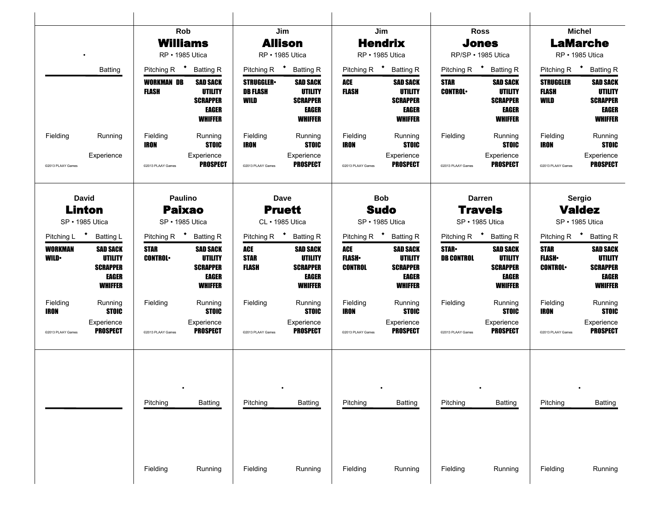|                         |                                                                          | Rob                               |                                                                                 | Jim                                         |                                                                   |                                   | Jim                                                                                    |                                   | <b>Ross</b>                                                                     |                                                 | <b>Michel</b>                                                                   |
|-------------------------|--------------------------------------------------------------------------|-----------------------------------|---------------------------------------------------------------------------------|---------------------------------------------|-------------------------------------------------------------------|-----------------------------------|----------------------------------------------------------------------------------------|-----------------------------------|---------------------------------------------------------------------------------|-------------------------------------------------|---------------------------------------------------------------------------------|
|                         |                                                                          | <b>Williams</b>                   |                                                                                 | <b>Allison</b>                              |                                                                   |                                   | <b>Hendrix</b>                                                                         |                                   | <b>Jones</b>                                                                    |                                                 | <b>LaMarche</b>                                                                 |
|                         |                                                                          | RP · 1985 Utica                   |                                                                                 | RP · 1985 Utica                             |                                                                   | RP · 1985 Utica                   |                                                                                        | RP/SP · 1985 Utica                |                                                                                 |                                                 | RP · 1985 Utica                                                                 |
|                         | <b>Batting</b>                                                           | Pitching R <sup>+</sup> Batting R |                                                                                 | Pitching R <sup>+</sup> Batting R           |                                                                   | Pitching R $\bullet$              | <b>Batting R</b>                                                                       | Pitching R <sup>+</sup> Batting R |                                                                                 | Pitching R <sup>+</sup> Batting R               |                                                                                 |
|                         |                                                                          | <b>WORKMAN DB</b><br><b>FLASH</b> | SAD SACK<br>UTILITY<br><b>SCRAPPER</b><br>EAGER<br><b>WHIFFER</b>               | <b>STRUGGLER</b><br><b>DB FLASH</b><br>WILD | <b>SAD SACK</b><br>UTILITY<br><b>SCRAPPER</b><br>EAGER<br>WHIFFER | ACE<br>FLASH                      | <b>SAD SACK</b><br><b>UTILITY</b><br><b>SCRAPPER</b><br>EAGER<br><b>WHIFFER</b>        | <b>STAR</b><br><b>CONTROL</b>     | <b>SAD SACK</b><br>UTILITY<br><b>SCRAPPER</b><br>EAGER<br>WHIFFER               | <b>STRUGGLER</b><br>FLASH<br>WILD               | <b>SAD SACK</b><br><b>UTILITY</b><br><b>SCRAPPER</b><br>EAGER<br><b>WHIFFER</b> |
| Fielding                | Running                                                                  | Fielding<br>IRON                  | Running<br>STOIC                                                                | Fielding<br>IRON                            | Running<br>STOIC                                                  | Fielding<br>IRON                  | Running<br><b>STOIC</b>                                                                | Fielding                          | Running<br><b>STOIC</b>                                                         | Fielding<br>IRON                                | Running<br><b>STOIC</b>                                                         |
| @2013 PLAAY Games       | Experience                                                               | @2013 PLAAY Games                 | Experience<br><b>PROSPECT</b>                                                   | @2013 PLAAY Games                           | Experience<br><b>PROSPECT</b>                                     | @2013 PLAAY Games                 | Experience<br><b>PROSPECT</b>                                                          | @2013 PLAAY Games                 | Experience<br><b>PROSPECT</b>                                                   | @2013 PLAAY Games                               | Experience<br><b>PROSPECT</b>                                                   |
|                         | <b>David</b>                                                             | <b>Paulino</b>                    |                                                                                 | Dave                                        |                                                                   |                                   | <b>Bob</b>                                                                             | <b>Darren</b>                     |                                                                                 |                                                 | Sergio                                                                          |
|                         | Linton                                                                   | <b>Paixao</b>                     |                                                                                 | <b>Pruett</b>                               |                                                                   |                                   | <b>Sudo</b>                                                                            |                                   | <b>Travels</b>                                                                  |                                                 | <b>Valdez</b><br>SP · 1985 Utica                                                |
|                         | SP · 1985 Utica                                                          | SP · 1985 Utica                   |                                                                                 | CL · 1985 Utica                             |                                                                   | SP · 1985 Utica                   |                                                                                        | SP · 1985 Utica                   |                                                                                 |                                                 |                                                                                 |
|                         | Pitching L * Batting L                                                   | Pitching R <sup>+</sup> Batting R |                                                                                 | Pitching R <sup>+</sup> Batting R           |                                                                   | Pitching R <sup>+</sup> Batting R |                                                                                        | Pitching R <sup>+</sup> Batting R |                                                                                 |                                                 | Pitching R <b>*</b> Batting R                                                   |
| WORKMAN<br><b>WILD•</b> | <b>SAD SACK</b><br><b>UTILITY</b><br><b>SCRAPPER</b><br>EAGER<br>WHIFFER | STAR<br><b>CONTROL</b>            | <b>SAD SACK</b><br><b>UTILITY</b><br><b>SCRAPPER</b><br>EAGER<br><b>WHIFFER</b> | ACE<br><b>STAR</b><br><b>FLASH</b>          | <b>SAD SACK</b><br>UTILITY<br><b>SCRAPPER</b><br>EAGER<br>WHIFFER | ACE<br><b>FLASH</b><br>CONTROL    | <b>SAD SACK</b><br><b>UTILITY</b><br><b>SCRAPPER</b><br><b>EAGER</b><br><b>WHIFFER</b> | <b>STAR</b><br><b>DB CONTROL</b>  | <b>SAD SACK</b><br><b>UTILITY</b><br><b>SCRAPPER</b><br>EAGER<br><b>WHIFFER</b> | <b>STAR</b><br><b>FLASH</b> •<br><b>CONTROL</b> | <b>SAD SACK</b><br><b>UTILITY</b><br><b>SCRAPPER</b><br>EAGER<br><b>WHIFFER</b> |
| Fielding<br>IRON        | Running<br><b>STOIC</b>                                                  | Fielding                          | Running<br><b>STOIC</b>                                                         | Fielding                                    | Running<br><b>STOIC</b>                                           | Fielding<br>IRON                  | Running<br><b>STOIC</b>                                                                | Fielding                          | Running<br><b>STOIC</b>                                                         | Fielding<br>IRON                                | Running<br><b>STOIC</b>                                                         |
| @2013 PLAAY Games       | Experience<br><b>PROSPECT</b>                                            | @2013 PLAAY Games                 | Experience<br>PROSPECT                                                          | @2013 PLAAY Games                           | Experience<br><b>PROSPECT</b>                                     | @2013 PLAAY Games                 | Experience<br>PROSPECT                                                                 | @2013 PLAAY Games                 | Experience<br>PROSPECT                                                          | @2013 PLAAY Games                               | Experience<br><b>PROSPECT</b>                                                   |
|                         |                                                                          | Pitching                          | Batting                                                                         | Pitching                                    | <b>Batting</b>                                                    | Pitching                          | <b>Batting</b>                                                                         | Pitching                          | <b>Batting</b>                                                                  | Pitching                                        | Batting                                                                         |
|                         |                                                                          | Fielding                          | Running                                                                         | Fielding                                    | Running                                                           | Fielding                          | Running                                                                                | Fielding                          | Running                                                                         | Fielding                                        | Running                                                                         |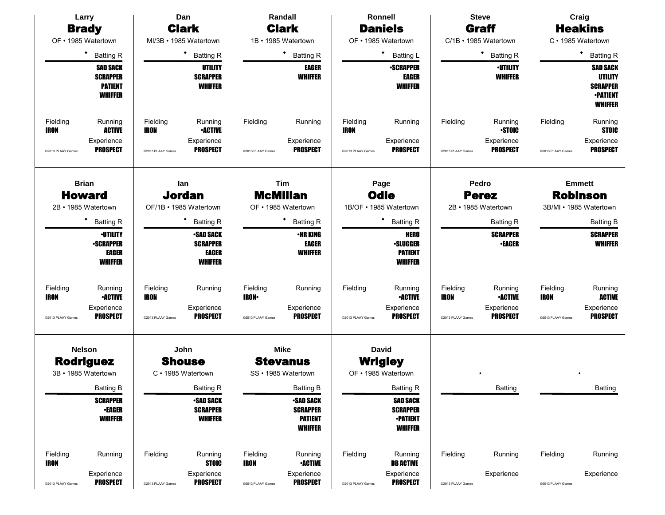|                         | Larry                                                                  |                         | Dan                                                                  |                          | Randall                                                                 |                         | Ronnell                                                                 |                         | <b>Steve</b>                        |                         | Craig                                                                                     |
|-------------------------|------------------------------------------------------------------------|-------------------------|----------------------------------------------------------------------|--------------------------|-------------------------------------------------------------------------|-------------------------|-------------------------------------------------------------------------|-------------------------|-------------------------------------|-------------------------|-------------------------------------------------------------------------------------------|
|                         | <b>Brady</b>                                                           |                         | <b>Clark</b>                                                         |                          | <b>Clark</b>                                                            |                         | <b>Daniels</b>                                                          |                         | Graff                               |                         | <b>Heakins</b>                                                                            |
| OF • 1985 Watertown     |                                                                        |                         | MI/3B · 1985 Watertown                                               |                          | 1B · 1985 Watertown                                                     |                         | OF • 1985 Watertown                                                     |                         | C/1B · 1985 Watertown               |                         | C · 1985 Watertown                                                                        |
|                         | $\bullet$<br><b>Batting R</b>                                          |                         | $\bullet$<br><b>Batting R</b>                                        |                          | $\bullet$<br><b>Batting R</b>                                           |                         | ٠<br><b>Batting L</b>                                                   |                         | ٠<br><b>Batting R</b>               |                         | ٠<br><b>Batting R</b>                                                                     |
|                         | <b>SAD SACK</b><br><b>SCRAPPER</b><br><b>PATIENT</b><br><b>WHIFFER</b> |                         | UTILITY<br><b>SCRAPPER</b><br><b>WHIFFER</b>                         |                          | EAGER<br><b>WHIFFER</b>                                                 |                         | <b>-SCRAPPER</b><br><b>EAGER</b><br><b>WHIFFER</b>                      |                         | <b>-UTILITY</b><br><b>WHIFFER</b>   |                         | <b>SAD SACK</b><br><b>UTILITY</b><br><b>SCRAPPER</b><br><b>-PATIENT</b><br><b>WHIFFER</b> |
| Fielding<br><b>IRON</b> | Running<br><b>ACTIVE</b>                                               | Fielding<br><b>IRON</b> | Running<br><b>•ACTIVE</b>                                            | Fielding                 | Running                                                                 | Fielding<br><b>IRON</b> | Running                                                                 | Fielding                | Running<br><b>STOIC</b>             | Fielding                | Running<br><b>STOIC</b>                                                                   |
| @2013 PLAAY Games       | Experience<br><b>PROSPECT</b>                                          | @2013 PLAAY Games       | Experience<br><b>PROSPECT</b>                                        | @2013 PLAAY Games        | Experience<br><b>PROSPECT</b>                                           | @2013 PLAAY Games       | Experience<br><b>PROSPECT</b>                                           | @2013 PLAAY Games       | Experience<br><b>PROSPECT</b>       | @2013 PLAAY Games       | Experience<br><b>PROSPECT</b>                                                             |
|                         | <b>Brian</b>                                                           |                         | lan                                                                  |                          | Tim                                                                     |                         | Page                                                                    |                         | Pedro                               |                         | <b>Emmett</b>                                                                             |
| 2B · 1985 Watertown     | <b>Howard</b>                                                          |                         | <b>Jordan</b><br>OF/1B · 1985 Watertown                              |                          | <b>McMillan</b><br>OF • 1985 Watertown                                  |                         | <b>Odle</b><br>1B/OF · 1985 Watertown                                   |                         | <b>Perez</b><br>2B · 1985 Watertown |                         | <b>Robinson</b><br>3B/MI • 1985 Watertown                                                 |
|                         | ٠<br><b>Batting R</b>                                                  |                         | ٠<br><b>Batting R</b>                                                |                          | <b>Batting R</b>                                                        |                         | ٠<br><b>Batting R</b>                                                   |                         | <b>Batting R</b>                    |                         | <b>Batting B</b>                                                                          |
|                         | <b>-UTILITY</b><br><b>-SCRAPPER</b><br><b>EAGER</b><br><b>WHIFFER</b>  |                         | <b>SAD SACK</b><br><b>SCRAPPER</b><br><b>EAGER</b><br><b>WHIFFER</b> |                          | <b>•HR KING</b><br><b>EAGER</b><br><b>WHIFFER</b>                       |                         | <b>HERO</b><br><b>-SLUGGER</b><br><b>PATIENT</b><br><b>WHIFFER</b>      |                         | <b>SCRAPPER</b><br><b>•EAGER</b>    |                         | <b>SCRAPPER</b><br><b>WHIFFER</b>                                                         |
| Fielding<br><b>IRON</b> | Running<br><b>-ACTIVE</b>                                              | Fielding<br><b>IRON</b> | Running                                                              | Fielding<br><b>IRON-</b> | Running                                                                 | Fielding                | Running<br><b>•ACTIVE</b>                                               | Fielding<br><b>IRON</b> | Running<br><b>•ACTIVE</b>           | Fielding<br><b>IRON</b> | Running<br><b>ACTIVE</b>                                                                  |
| @2013 PLAAY Games       | Experience<br><b>PROSPECT</b>                                          | @2013 PLAAY Games       | Experience<br><b>PROSPECT</b>                                        | @2013 PLAAY Games        | Experience<br><b>PROSPECT</b>                                           | @2013 PLAAY Games       | Experience<br><b>PROSPECT</b>                                           | @2013 PLAAY Games       | Experience<br><b>PROSPECT</b>       | @2013 PLAAY Games       | Experience<br><b>PROSPECT</b>                                                             |
|                         | <b>Nelson</b>                                                          |                         | John                                                                 |                          | <b>Mike</b>                                                             |                         | <b>David</b>                                                            |                         |                                     |                         |                                                                                           |
|                         | <b>Rodriguez</b>                                                       |                         | <b>Shouse</b>                                                        |                          | <b>Stevanus</b>                                                         |                         | <b>Wrigley</b>                                                          |                         |                                     |                         |                                                                                           |
| 3B · 1985 Watertown     |                                                                        |                         | C · 1985 Watertown                                                   |                          | SS · 1985 Watertown                                                     |                         | OF • 1985 Watertown                                                     |                         |                                     |                         |                                                                                           |
|                         | <b>Batting B</b>                                                       |                         | <b>Batting R</b>                                                     |                          | <b>Batting B</b>                                                        |                         | <b>Batting R</b>                                                        |                         | Batting                             |                         | Batting                                                                                   |
|                         | <b>SCRAPPER</b><br><b>•EAGER</b><br><b>WHIFFER</b>                     |                         | <b>-SAD SACK</b><br><b>SCRAPPER</b><br><b>WHIFFER</b>                |                          | <b>•SAD SACK</b><br><b>SCRAPPER</b><br><b>PATIENT</b><br><b>WHIFFER</b> |                         | <b>SAD SACK</b><br><b>SCRAPPER</b><br><b>-PATIENT</b><br><b>WHIFFER</b> |                         |                                     |                         |                                                                                           |
| Fielding<br><b>IRON</b> | Running                                                                | Fielding                | Running<br><b>STOIC</b>                                              | Fielding<br><b>IRON</b>  | Running<br><b>-ACTIVE</b>                                               | Fielding                | Running<br><b>DB ACTIVE</b>                                             | Fielding                | Running                             | Fielding                | Running                                                                                   |
| @2013 PLAAY Games       | Experience<br><b>PROSPECT</b>                                          | @2013 PLAAY Games       | Experience<br><b>PROSPECT</b>                                        | @2013 PLAAY Games        | Experience<br><b>PROSPECT</b>                                           | @2013 PLAAY Games       | Experience<br><b>PROSPECT</b>                                           | @2013 PLAAY Games       | Experience                          | @2013 PLAAY Games       | Experience                                                                                |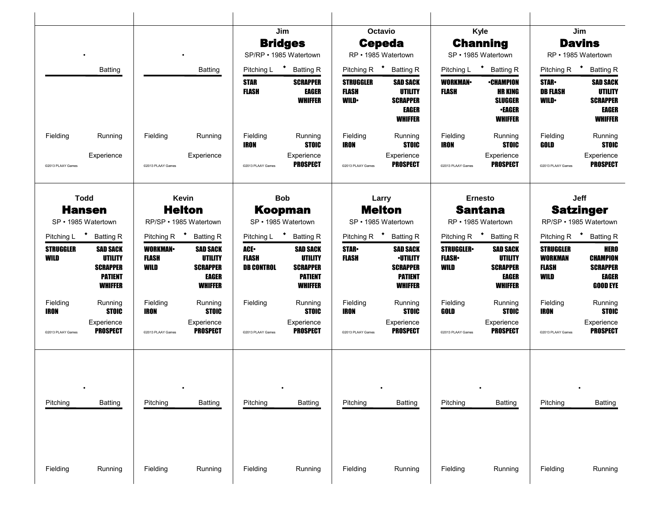|                                   |                                                                                          |                                         |                                                                                 |                                                 | Jim                                                                                      |                                                  | Octavio                                                                                   |                                            | Kyle                                                                                    |                                                     | Jim                                                                                    |
|-----------------------------------|------------------------------------------------------------------------------------------|-----------------------------------------|---------------------------------------------------------------------------------|-------------------------------------------------|------------------------------------------------------------------------------------------|--------------------------------------------------|-------------------------------------------------------------------------------------------|--------------------------------------------|-----------------------------------------------------------------------------------------|-----------------------------------------------------|----------------------------------------------------------------------------------------|
|                                   |                                                                                          |                                         |                                                                                 |                                                 | <b>Bridges</b>                                                                           |                                                  | <b>Cepeda</b>                                                                             |                                            | <b>Channing</b>                                                                         |                                                     | <b>Davins</b>                                                                          |
|                                   |                                                                                          |                                         |                                                                                 |                                                 | SP/RP • 1985 Watertown                                                                   |                                                  | RP • 1985 Watertown                                                                       |                                            | SP · 1985 Watertown                                                                     |                                                     | RP · 1985 Watertown                                                                    |
|                                   | Batting                                                                                  |                                         | <b>Batting</b>                                                                  |                                                 | Pitching L <b>*</b> Batting R                                                            |                                                  | Pitching R <sup>+</sup> Batting R                                                         |                                            | Pitching L <b>*</b> Batting R                                                           | Pitching R <sup>+</sup>                             | <b>Batting R</b>                                                                       |
|                                   |                                                                                          |                                         |                                                                                 | <b>STAR</b><br><b>FLASH</b>                     | <b>SCRAPPER</b><br><b>EAGER</b><br><b>WHIFFER</b>                                        | <b>STRUGGLER</b><br><b>FLASH</b><br><b>WILD•</b> | <b>SAD SACK</b><br><b>UTILITY</b><br><b>SCRAPPER</b><br>EAGER<br><b>WHIFFER</b>           | <b>WORKMAN</b><br>FLASH                    | <b>•CHAMPION</b><br><b>HR KING</b><br><b>SLUGGER</b><br><b>•EAGER</b><br><b>WHIFFER</b> | <b>STAR-</b><br><b>DB FLASH</b><br><b>WILD•</b>     | <b>SAD SACK</b><br><b>UTILITY</b><br><b>SCRAPPER</b><br><b>EAGER</b><br><b>WHIFFER</b> |
| Fielding                          | Running                                                                                  | Fielding                                | Running                                                                         | Fielding<br>IRON                                | Running<br><b>STOIC</b>                                                                  | Fielding<br>IRON                                 | Running<br><b>STOIC</b>                                                                   | Fielding<br>IRON                           | Running<br><b>STOIC</b>                                                                 | Fielding<br>GOLD                                    | Running<br><b>STOIC</b>                                                                |
| @2013 PLAAY Games                 | Experience                                                                               | @2013 PLAAY Games                       | Experience                                                                      | @2013 PLAAY Games                               | Experience<br><b>PROSPECT</b>                                                            | @2013 PLAAY Games                                | Experience<br><b>PROSPECT</b>                                                             | @2013 PLAAY Games                          | Experience<br><b>PROSPECT</b>                                                           | @2013 PLAAY Games                                   | Experience<br><b>PROSPECT</b>                                                          |
| <b>Todd</b>                       |                                                                                          |                                         | Kevin                                                                           |                                                 | <b>Bob</b>                                                                               |                                                  | Larry                                                                                     |                                            | <b>Ernesto</b>                                                                          |                                                     | Jeff                                                                                   |
|                                   | <b>Hansen</b><br>SP • 1985 Watertown                                                     |                                         | <b>Helton</b><br>RP/SP • 1985 Watertown                                         |                                                 | <b>Koopman</b><br>SP · 1985 Watertown                                                    |                                                  | <b>Melton</b><br>SP · 1985 Watertown                                                      |                                            | <b>Santana</b><br>RP · 1985 Watertown                                                   |                                                     | <b>Satzinger</b><br>RP/SP · 1985 Watertown                                             |
| Pitching L <sup>+</sup> Batting R |                                                                                          |                                         | Pitching R <sup>+</sup> Batting R                                               |                                                 | Pitching L <b>*</b> Batting R                                                            |                                                  | Pitching R <sup>+</sup> Batting R                                                         |                                            | Pitching R <sup>+</sup> Batting R                                                       | Pitching R <sup>+</sup>                             | <b>Batting R</b>                                                                       |
| <b>STRUGGLER</b><br>WILD          | <b>SAD SACK</b><br><b>UTILITY</b><br><b>SCRAPPER</b><br><b>PATIENT</b><br><b>WHIFFER</b> | <b>WORKMAN-</b><br><b>FLASH</b><br>WILD | <b>SAD SACK</b><br><b>UTILITY</b><br><b>SCRAPPER</b><br>EAGER<br><b>WHIFFER</b> | <b>ACE</b><br><b>FLASH</b><br><b>DB CONTROL</b> | <b>SAD SACK</b><br><b>UTILITY</b><br><b>SCRAPPER</b><br><b>PATIENT</b><br><b>WHIFFER</b> | <b>STAR-</b><br>FLASH                            | <b>SAD SACK</b><br><b>·UTILITY</b><br><b>SCRAPPER</b><br><b>PATIENT</b><br><b>WHIFFER</b> | <b>STRUGGLER</b><br><b>FLASH</b> •<br>WILD | <b>SAD SACK</b><br><b>UTILITY</b><br><b>SCRAPPER</b><br><b>EAGER</b><br><b>WHIFFER</b>  | <b>STRUGGLER</b><br><b>WORKMAN</b><br>FLASH<br>WILD | <b>HERO</b><br><b>CHAMPION</b><br><b>SCRAPPER</b><br><b>EAGER</b><br><b>GOOD EYE</b>   |
| Fielding<br><b>IRON</b>           | Running<br><b>STOIC</b>                                                                  | Fielding<br><b>IRON</b>                 | Running<br><b>STOIC</b>                                                         | Fielding                                        | Running<br><b>STOIC</b>                                                                  | Fielding<br>IRON                                 | Running<br><b>STOIC</b>                                                                   | Fielding<br>GOLD                           | Running<br><b>STOIC</b>                                                                 | Fielding<br><b>IRON</b>                             | Running<br><b>STOIC</b>                                                                |
| @2013 PLAAY Games                 | Experience<br><b>PROSPECT</b>                                                            | @2013 PLAAY Games                       | Experience<br><b>PROSPECT</b>                                                   | @2013 PLAAY Games                               | Experience<br>PROSPECT                                                                   | @2013 PLAAY Games                                | Experience<br><b>PROSPECT</b>                                                             | @2013 PLAAY Games                          | Experience<br><b>PROSPECT</b>                                                           | @2013 PLAAY Games                                   | Experience<br><b>PROSPECT</b>                                                          |
| Pitching                          | <b>Batting</b>                                                                           | Pitching                                | <b>Batting</b>                                                                  | Pitching                                        | Batting                                                                                  | Pitching                                         | <b>Batting</b>                                                                            | Pitching                                   | <b>Batting</b>                                                                          | Pitching                                            | Batting                                                                                |
| Fielding                          | Running                                                                                  | Fielding                                | Running                                                                         | Fielding                                        | Running                                                                                  | Fielding                                         | Running                                                                                   | Fielding                                   | Running                                                                                 | Fielding                                            | Running                                                                                |